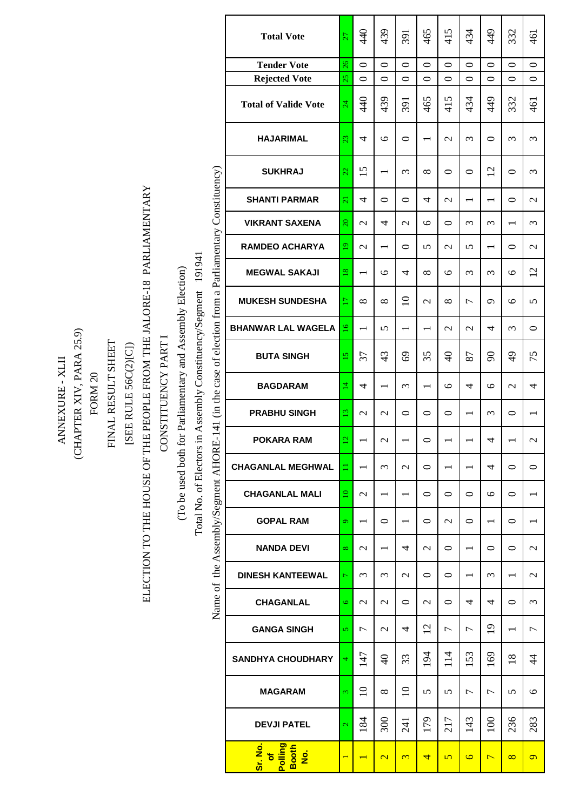|                          |                    |                    |                      |                                            |                   |                                          |                                                        |                               |                     | <b>Total Vote</b>                             | $27\,$              | 440                      | 439                      | 391                      | 465                      | 415                      | 434                      | 449                      | 332                      | 461                      |
|--------------------------|--------------------|--------------------|----------------------|--------------------------------------------|-------------------|------------------------------------------|--------------------------------------------------------|-------------------------------|---------------------|-----------------------------------------------|---------------------|--------------------------|--------------------------|--------------------------|--------------------------|--------------------------|--------------------------|--------------------------|--------------------------|--------------------------|
|                          |                    |                    |                      |                                            |                   |                                          |                                                        |                               |                     | <b>Tender Vote</b>                            | 26                  | $\circ$                  | $\circ$                  | $\circ$                  | $\circ$                  | $\circ$                  | $\circ$                  | $\circ$                  | $\circ$                  | $\circ$                  |
|                          |                    |                    |                      |                                            |                   |                                          |                                                        |                               |                     | <b>Rejected Vote</b>                          | 25                  | $\circ$                  | $\circ$                  | $\circ$                  | $\circ$                  | $\circ$                  | $\circ$                  | $\circ$                  | $\circ$                  | $\circ$                  |
|                          |                    |                    |                      |                                            |                   |                                          |                                                        |                               |                     | <b>Total of Valide Vote</b>                   | 24                  | 440                      | 439                      | 391                      | 465                      | 415                      | 434                      | 449                      | 332                      | 461                      |
|                          |                    |                    |                      |                                            |                   |                                          |                                                        |                               |                     | <b>HAJARIMAL</b>                              | 23                  | 4                        | $\circ$                  | $\circ$                  | $\overline{\phantom{0}}$ | $\mathbf{C}$             | 3                        | $\circ$                  | $\omega$                 | 3                        |
|                          |                    |                    |                      |                                            |                   |                                          |                                                        |                               |                     | <b>SUKHRAJ</b>                                | 22                  | 15                       |                          | $\infty$                 | $\infty$                 | $\circ$                  | $\circ$                  | 12                       | $\circ$                  | $\epsilon$               |
|                          |                    |                    |                      |                                            |                   |                                          |                                                        |                               |                     | <b>SHANTI PARMAR</b>                          | $\overline{21}$     | 4                        | $\circ$                  | $\circ$                  | 4                        | $\mathcal{L}$            | $\overline{\phantom{0}}$ | $\overline{\phantom{0}}$ | $\circ$                  | $\mathbf{C}$             |
|                          |                    |                    |                      |                                            |                   |                                          |                                                        |                               |                     | <b>VIKRANT SAXENA</b>                         | $\overline{20}$     | $\mathcal{L}$            | 4                        | $\mathcal{L}$            | $\circ$                  | $\circ$                  | $\epsilon$               | $\epsilon$               | $\overline{\phantom{0}}$ | 3                        |
|                          |                    |                    |                      |                                            |                   |                                          |                                                        |                               |                     | <b>RAMDEO ACHARYA</b>                         | $\overline{9}$      | $\mathcal{L}$            | $\overline{\phantom{0}}$ | $\circ$                  | $\sigma$                 | $\sim$                   | 5                        |                          | $\circ$                  | $\mathcal{L}$            |
|                          |                    |                    |                      |                                            |                   |                                          | 191941                                                 | a Parliamentary Constituency) |                     | <b>MEGWAL SAKAJI</b>                          | $18\,$              | $\overline{\phantom{0}}$ | $\circ$                  | 4                        | $\infty$                 | $\circ$                  | $\epsilon$               | $\epsilon$               | $\circ$                  | 12                       |
|                          |                    |                    |                      |                                            |                   |                                          |                                                        |                               |                     | <b>MUKESH SUNDESHA</b>                        | $\Box$              | ${}^{\infty}$            | $\infty$                 | $\overline{10}$          | $\mathcal{L}$            | $\infty$                 | $\overline{ }$           | $\sigma$                 | $\circ$                  | $\sigma$                 |
|                          |                    |                    |                      |                                            |                   |                                          |                                                        |                               |                     | <b>BHANWAR LAL WAGELA</b>                     | $\overline{51}$     | $\overline{\phantom{0}}$ | 5                        | $\overline{\phantom{0}}$ |                          | $\mathbf{\Omega}$        | $\mathcal{L}$            | 4                        | $\sim$                   | $\circ$                  |
| (CHAPTER XIV, PARA 25.9) |                    | FINAL RESULT SHEET | [SEE RULE 56C(2)[C]) | HE PEOPLE FROM THE JALORE-18 PARLIAMENTARY | CONSTITUENCY PART | for Parliamentary and Assembly Election) | Total No. of Electors in Assembly Constituency/Segment | case of election from         |                     | <b>BUTA SINGH</b>                             | $\overline{15}$     | 37                       | 43                       | 69                       | 35                       | $\Theta$                 | 87                       | $\infty$                 | $\overline{6}$           | 75                       |
|                          | FORM <sub>20</sub> |                    |                      |                                            |                   |                                          |                                                        |                               |                     | <b>BAGDARAM</b>                               | 4                   | 4                        | $\overline{\phantom{0}}$ | $\epsilon$               | $\overline{\phantom{0}}$ | $\circ$                  | 4                        | $\circ$                  | $\mathbf{\sim}$          | 4                        |
|                          |                    |                    |                      |                                            |                   |                                          |                                                        | E-141 (in the                 |                     | <b>PRABHU SINGH</b>                           | $\overline{\omega}$ | $\mathbf{C}$             | $\mathbf{C}$             | $\circ$                  | $\circ$                  | $\circ$                  | $\overline{\phantom{0}}$ | $\omega$                 | $\circ$                  | $\overline{\phantom{0}}$ |
|                          |                    |                    |                      |                                            |                   |                                          |                                                        |                               |                     | <b>POKARA RAM</b>                             | $\overline{\omega}$ | $\overline{\phantom{0}}$ | $\mathcal{L}$            | $\overline{\phantom{0}}$ | $\circ$                  | $\overline{\phantom{0}}$ | $\overline{\phantom{0}}$ | 4                        | $\overline{\phantom{0}}$ | $\mathcal{L}$            |
|                          |                    |                    |                      |                                            |                   |                                          |                                                        |                               |                     | <b>CHAGANLAL MEGHWAL</b>                      | $\equiv$            | $\overline{\phantom{0}}$ | $\infty$                 | $\sim$                   | $\circ$                  | $\overline{\phantom{0}}$ | $\overline{\phantom{0}}$ | 4                        | $\circ$                  | $\circ$                  |
|                          |                    |                    |                      | ELECTION TO THE HOUSE OF T                 |                   | To be used both                          |                                                        | the Assembly/Segment AHOR     |                     | <b>CHAGANLAL MALI</b>                         | $\overline{a}$      | $\mathbf{\Omega}$        | $\overline{\phantom{0}}$ | $\overline{\phantom{0}}$ | $\circ$                  | $\circ$                  | $\circ$                  | $\circ$                  | $\circ$                  | $\overline{\phantom{0}}$ |
|                          |                    |                    |                      |                                            |                   |                                          |                                                        |                               |                     | <b>GOPAL RAM</b>                              | $\sigma$            | $\overline{\phantom{0}}$ | $\circ$                  | $\overline{\phantom{0}}$ | $\circ$                  | $\mathcal{C}$            | $\circ$                  | $\overline{\phantom{0}}$ | $\circ$                  | $\overline{\phantom{0}}$ |
|                          |                    |                    |                      |                                            |                   |                                          |                                                        |                               |                     | <b>NANDA DEVI</b>                             | 8                   | $\mathcal{C}$            | $\overline{\phantom{0}}$ | 4                        | $\mathcal{L}$            | $\circ$                  | $\overline{\phantom{0}}$ | $\circ$                  | $\circ$                  | $\mathcal{L}$            |
|                          |                    |                    |                      |                                            |                   |                                          |                                                        |                               |                     | <b>DINESH KANTEEWAL</b>                       | $\overline{ }$      | $\omega$                 | $\epsilon$               | $\mathcal{L}$            | $\circ$                  | $\circ$                  | $\overline{\phantom{0}}$ | $\sim$                   | $\overline{\phantom{0}}$ | $\mathbf{C}$             |
|                          |                    |                    |                      |                                            |                   |                                          |                                                        | Name of                       |                     | <b>CHAGANLAL</b>                              | 6                   | $\mathcal{L}$            | $\mathcal{L}$            | $\circ$                  | $\mathbf{\sim}$          | $\circ$                  | 4                        | 4                        | $\circ$                  | $\sim$                   |
|                          |                    |                    |                      |                                            |                   |                                          |                                                        |                               |                     | <b>GANGA SINGH</b>                            | 5                   | $\overline{ }$           | $\mathcal{L}$            | 4                        | $\overline{c}$           | $\overline{ }$           | $\overline{ }$           | $\overline{19}$          | $\overline{\phantom{0}}$ | 7                        |
|                          |                    |                    |                      |                                            |                   |                                          |                                                        |                               |                     | <b>SANDHYA CHOUDHARY</b>                      |                     | 147                      | $\Theta$                 | 33                       | 194                      | $\frac{1}{4}$            | 153                      | 169                      | 18                       | 4                        |
|                          |                    |                    |                      |                                            |                   |                                          |                                                        |                               |                     | <b>MAGARAM</b>                                | $\omega$            | $\overline{10}$          | $\infty$                 | $\overline{10}$          | $\sigma$                 | $\mathbf{v}$             | 1                        | $\overline{ }$           | $\Omega$                 | $\circ$                  |
|                          |                    |                    |                      |                                            |                   |                                          |                                                        |                               |                     | <b>DEVJI PATEL</b>                            | $\mathbf{a}$        | 184                      | 300                      | 241                      | 179                      | 217                      | 143                      | 100                      | 236                      | 283                      |
|                          |                    |                    |                      |                                            |                   |                                          |                                                        |                               | Sr. No.<br>$\delta$ | Polling<br><b>Booth</b><br>$\dot{\mathbf{z}}$ |                     | $\overline{\phantom{0}}$ | $\overline{\mathbf{c}}$  | $\overline{3}$           | 4                        | $\overline{5}$           | $\tilde{\mathbf{Q}}$     | $\overline{ }$           | 8                        | $\sigma$                 |

ANNEXURE - XLII

ANNEXURE - XLII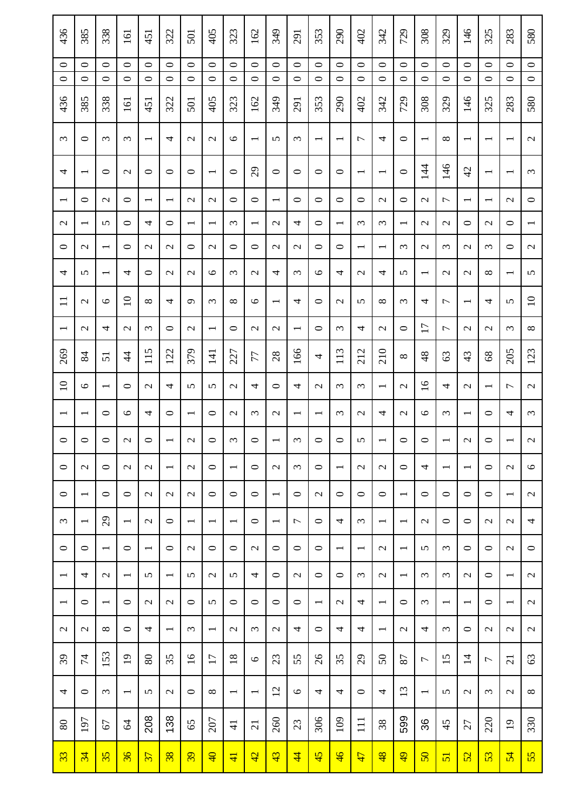| $\circ$<br>$\circ$<br>$\circ$<br>$\circ$<br>436<br>385          |                                     | 0<br>$\circ$<br>338 | 161<br>$\circ$<br>$\circ$<br>161 | 338<br>451<br>$\circ$<br>$\circ$<br>451 | 322<br>$\circ$<br>$\circ$<br>322         | 501<br>$\circ$<br>$\circ$<br>501 | 405<br>$\circ$<br>$\circ$<br>405          | 323<br>$\circ$<br>$\circ$<br>323    | 162<br>$\circ$<br>$\circ$<br>162            | 349<br>$\circ$<br>$\circ$<br>349          | 291<br>$\circ$<br>$\circ$<br>291 | 353<br>$\circ$<br>$\circ$<br>353    | 290<br>$\circ$<br>$\circ$<br>290    | 402<br>$\circ$<br>$\circ$<br>402           | 342<br>$\circ$<br>$\circ$<br>342 | 729<br>$\circ$<br>$\circ$<br>729    | 308<br>$\circ$<br>$\circ$<br>308            | 329<br>$\circ$<br>$\circ$<br>329    | 146<br>$\circ$<br>$\circ$<br>146           | 325<br>$\circ$<br>$\circ$<br>325           | 283<br>$\circ$<br>$\circ$<br>283          |
|-----------------------------------------------------------------|-------------------------------------|---------------------|----------------------------------|-----------------------------------------|------------------------------------------|----------------------------------|-------------------------------------------|-------------------------------------|---------------------------------------------|-------------------------------------------|----------------------------------|-------------------------------------|-------------------------------------|--------------------------------------------|----------------------------------|-------------------------------------|---------------------------------------------|-------------------------------------|--------------------------------------------|--------------------------------------------|-------------------------------------------|
| $\omega$<br>ᅌ<br>4<br>$\overline{\phantom{0}}$                  |                                     | 3<br>○              | $\epsilon$<br>$\mathcal{L}$      | $\overline{\phantom{0}}$<br>$\circ$     | 4<br>○                                   | $\mathcal{L}$<br>$\circ$         | $\mathcal{L}$<br>$\overline{\phantom{0}}$ | $\circ$<br>0                        | $\overline{\phantom{0}}$<br>$\overline{29}$ | 5<br>$\circ$                              | $\epsilon$<br>○                  | $\overline{\phantom{0}}$<br>$\circ$ | $\overline{\phantom{0}}$<br>$\circ$ | $\overline{ }$<br>$\overline{\phantom{0}}$ | 4<br>$\overline{\phantom{0}}$    | $\circ$<br>0                        | $\overline{\phantom{0}}$<br>$\overline{14}$ | $\infty$<br>146                     | $\overline{\phantom{0}}$<br>$\overline{4}$ | $\overline{\phantom{0}}$<br>$\overline{ }$ | $\overline{\phantom{0}}$                  |
| $\circ$<br>$\overline{\phantom{0}}$                             |                                     | $\mathcal{L}$       | $\circ$                          | $\overline{\phantom{0}}$                | $\overline{\phantom{0}}$                 | $\mathcal{L}$                    | $\mathcal{L}$                             | 0                                   | $\circ$                                     | $\overline{ }$                            | $\circ$                          | $\circ$                             | $\circ$                             | $\circ$                                    | $\mathcal{L}$                    | 0                                   | $\mathcal{L}$                               | 1                                   | $\overline{\phantom{0}}$                   | $\overline{\phantom{0}}$                   | $\mathcal{L}$                             |
| $\mathcal{L}$<br>$\overline{\phantom{0}}$                       | 5                                   |                     | $\circ$                          | 4                                       | $\circ$                                  | $\overline{\phantom{0}}$         | $\overline{\phantom{0}}$                  | $\epsilon$                          | $\overline{\phantom{0}}$                    | $\mathcal{L}$                             | 4                                | $\circ$                             | $\overline{\phantom{0}}$            | $\epsilon$                                 | 3                                | $\overline{\phantom{0}}$            | $\mathcal{L}$                               | $\mathcal{L}$                       | ᅌ                                          | $\mathcal{L}$                              | $\circ$                                   |
| 0<br>$\mathcal{L}$                                              | $\overline{\phantom{0}}$            |                     | $\circ$                          | $\mathbf{C}$                            | $\mathcal{L}$                            | $\circ$                          | $\mathcal{L}$                             | ᅌ                                   | $\circ$                                     | $\mathcal{L}$                             | $\mathcal{L}$                    | $\circ$                             | $\circ$                             | $\overline{\phantom{0}}$                   | $\overline{\phantom{0}}$         | $\omega$                            | $\mathcal{L}$                               | 3                                   | $\mathcal{L}$                              | ω                                          | $\circ$                                   |
| 4<br>5<br>$\Box$<br>$\mathcal{L}$                               | $\overline{\phantom{0}}$<br>$\circ$ |                     | 4<br>$\Omega$                    | $\circ$<br>$\infty$                     | $\mathcal{L}$<br>4                       | $\mathbf{C}$<br>$\sigma$         | $\circ$<br>3                              | $\epsilon$<br>$\infty$              | $\mathcal{L}$<br>$\circ$                    | 4<br>$\overline{\phantom{0}}$             | $\epsilon$<br>4                  | $\circ$<br>$\circ$                  | 4<br>$\mathcal{L}$                  | $\mathcal{L}$<br>5                         | 4<br>$\infty$                    | 5<br>$\epsilon$                     | $\overline{\phantom{0}}$<br>4               | $\mathcal{L}$<br>$\overline{ }$     | $\mathcal{L}$<br>$\overline{\phantom{0}}$  | $\infty$<br>4                              | $\overline{\phantom{0}}$<br>5             |
| $\mathcal{L}$<br>$\overline{\phantom{0}}$                       | 4                                   |                     | $\mathcal{L}$                    | $\epsilon$                              | $\circ$                                  | $\mathcal{L}$                    | $\overline{\phantom{0}}$                  | 0                                   | $\mathcal{L}$                               | $\mathcal{L}$                             | $\overline{\phantom{0}}$         | $\circ$                             | $\epsilon$                          | 4                                          | $\mathcal{L}$                    | $\circ$                             | $\overline{17}$                             | 1                                   | $\mathcal{L}$                              | $\mathbf{\sim}$                            | $\omega$                                  |
| 269<br>84                                                       | $\overline{51}$                     |                     | $\overline{4}$                   | 115                                     | 122                                      | 379                              | 141                                       | 227                                 | 77                                          | 28                                        | 166                              | 4                                   | 113                                 | 212                                        | 210                              | $\infty$                            | 48                                          | 63                                  | 43                                         | 68                                         | 205                                       |
| $\Omega$<br>9                                                   | $\overline{\phantom{0}}$            |                     | $\circ$                          | $\mathcal{L}$                           | 4                                        | 5                                | 5                                         | $\mathcal{L}$                       | 4                                           | $\circ$                                   | 4                                | $\mathbf{\sim}$                     | $\epsilon$                          | $\epsilon$                                 | $\overline{\phantom{0}}$         | $\mathcal{L}$                       | $\overline{16}$                             | 4                                   | $\mathcal{L}$                              | $\overline{\phantom{0}}$                   | $\overline{ }$                            |
| $\overline{\phantom{0}}$<br>$\overline{\phantom{0}}$            | $\circ$                             |                     | $\circ$                          | 4                                       | $\circ$                                  | $\overline{\phantom{0}}$         | $\circ$                                   | $\mathcal{L}$                       | $\omega$                                    | $\mathcal{L}$                             | $\overline{\phantom{0}}$         | $\overline{\phantom{0}}$            | $\omega$                            | $\mathcal{L}$                              | 4                                | $\mathcal{L}$                       | $\circ$                                     | $\epsilon$                          | $\overline{\phantom{0}}$                   | ○                                          | 4                                         |
| $\circ$<br>$\circ$                                              | $\circ$                             |                     | $\mathcal{L}$                    | $\circ$                                 | $\overline{\phantom{0}}$                 | $\mathcal{L}$                    | $\circ$                                   | $\epsilon$                          | $\circ$                                     | $\overline{\phantom{0}}$                  | $\epsilon$                       | $\circ$                             | $\circ$                             | 5                                          | $\overline{\phantom{0}}$         | $\circ$                             | $\circ$                                     | $\overline{\phantom{0}}$            | $\mathcal{L}$                              | $\circ$                                    | $\overline{\phantom{0}}$                  |
| $\circ$<br>$\mathcal{L}$<br>$\circ$<br>$\overline{\phantom{0}}$ | $\circ$<br>$\circ$                  |                     | $\mathcal{L}$<br>$\circ$         | $\mathcal{L}$<br>$\mathbf{C}$           | $\overline{\phantom{a}}$<br>$\mathbf{C}$ | $\mathcal{L}$<br>$\mathcal{L}$   | $\circ$<br>$\circ$                        | $\overline{\phantom{0}}$<br>$\circ$ | $\circ$<br>$\circ$                          | $\mathcal{L}$<br>$\overline{\phantom{0}}$ | $\epsilon$<br>$\circ$            | $\circ$<br>$\mathbf{C}$             | $\overline{\phantom{a}}$<br>$\circ$ | $\mathcal{L}$<br>$\circ$                   | $\mathcal{L}$<br>$\circ$         | $\circ$<br>$\overline{\phantom{0}}$ | 4<br>$\circ$                                | $\overline{\phantom{0}}$<br>$\circ$ | $\overline{\phantom{0}}$<br>$\circ$        | $\circ$<br>0                               | $\mathcal{L}$<br>$\overline{\phantom{0}}$ |
| $\epsilon$<br>$\overline{\phantom{a}}$                          | 29                                  |                     | $\overline{\phantom{0}}$         | $\mathcal{L}$                           | $\circ$                                  | $\overline{\phantom{0}}$         | $\overline{\phantom{0}}$                  | $\overline{\phantom{0}}$            | $\circ$                                     | $\overline{\phantom{0}}$                  | $\overline{ }$                   | $\circ$                             | 4                                   | $\epsilon$                                 | $\overline{\phantom{0}}$         | $\overline{\phantom{0}}$            | $\mathbf{\sim}$                             | $\circ$                             | $\circ$                                    | $\mathbf{C}$                               | $\mathbf{\Omega}$                         |
| $\circ$<br>$\circ$                                              | $\overline{\phantom{0}}$            |                     | $\circ$                          | $\overline{\phantom{0}}$                | $\circ$                                  | $\mathcal{L}$                    | $\circ$                                   | $\circ$                             | $\mathcal{L}$                               | $\circ$                                   | $\circ$                          | $\circ$                             | $\overline{\phantom{0}}$            | $\overline{\phantom{0}}$                   | $\mathcal{L}$                    | $\overline{\phantom{0}}$            | 5                                           | $\epsilon$                          | $\circ$                                    | $\circ$                                    | $\mathcal{L}$                             |
| 4<br>$\overline{\phantom{0}}$                                   | $\mathcal{L}$                       |                     | $\overline{\phantom{0}}$         | 5                                       | $\overline{\phantom{0}}$                 | 5                                | $\mathcal{L}$                             | 5                                   | 4                                           | $\circ$                                   | $\mathcal{L}$                    | $\circ$                             | $\circ$                             | $\epsilon$                                 | $\mathcal{L}$                    | $\overline{\phantom{0}}$            | $\epsilon$                                  | $\epsilon$                          | $\mathcal{L}$                              | 0                                          | $\overline{\phantom{0}}$                  |
| $\circ$<br>$\overline{\phantom{0}}$                             | $\overline{\phantom{0}}$            |                     | $\circ$                          | $\mathcal{L}$                           | $\mathbf{C}$                             | $\circ$                          | 5                                         | $\circ$                             | $\circ$                                     | $\circ$                                   | $\circ$                          | $\overline{\phantom{0}}$            | $\mathcal{L}$                       | 4                                          | $\overline{\phantom{0}}$         | $\circ$                             | $\epsilon$                                  | $\overline{\phantom{0}}$            | $\overline{\phantom{0}}$                   | $\circ$                                    | $\overline{\phantom{0}}$                  |
| $\mathcal{L}$<br>$\sim$                                         | ${}^{\circ}$                        |                     | $\circ$                          | 4                                       | $\overline{\phantom{0}}$                 | $\epsilon$                       | $\overline{\phantom{0}}$                  | $\mathcal{L}$                       | $\omega$                                    | $\mathcal{L}$                             | 4                                | $\circ$                             | 4                                   | 4                                          | $\overline{\phantom{0}}$         | $\mathcal{L}$                       | 4                                           | $\epsilon$                          | $\circ$                                    | $\mathbf{\sim}$                            | $\mathcal{L}$                             |
| 39<br>$\overline{7}$                                            | 153                                 |                     | $\overline{19}$                  | 80                                      | 35                                       | $\overline{16}$                  | $\overline{17}$                           | $\overline{18}$                     | $\circ$                                     | 23                                        | 55                               | 26                                  | 35                                  | $\mathcal{Q}$                              | $50\,$                           | 87                                  | $\overline{ }$                              | 15                                  | $\overline{4}$                             | $\overline{ }$                             | $\overline{c}$                            |
| 4<br>$\circ$                                                    | 3                                   |                     | $\overline{\phantom{0}}$         | $\mathbf{v}$                            | $\mathbf{\sim}$                          | $\circ$                          | $\infty$                                  | $\overline{\phantom{0}}$            | $\overline{\phantom{a}}$                    | 12                                        | $\circ$                          | 4                                   | 4                                   | $\circ$                                    | 4                                | 13                                  | $\overline{\phantom{a}}$                    | 5                                   | $\mathcal{L}$                              | $\epsilon$                                 | $\mathcal{L}$                             |
| 197<br>$80\,$<br>33<br>34                                       | 67<br>35                            |                     | 64<br>$\overline{36}$            | 208<br>$\overline{\mathcal{E}}$         | 138<br>$\overline{\mathbf{38}}$          | 65<br>$\overline{39}$            | 207<br>$\overline{Q}$                     | $\frac{1}{4}$<br>$\overline{4}$     | $\overline{21}$<br>42                       | 260<br>43                                 | 23<br>$\overline{4}$             | 306<br>45                           | 109<br>$\frac{4}{6}$                | $\Xi$<br>47                                | 38<br>$\frac{48}{5}$             | 599<br>$\overline{6}$               | 36<br>$\overline{50}$                       | 45<br>$\overline{51}$               | 27<br>52                                   | 220<br>53                                  | $\overline{19}$<br>54                     |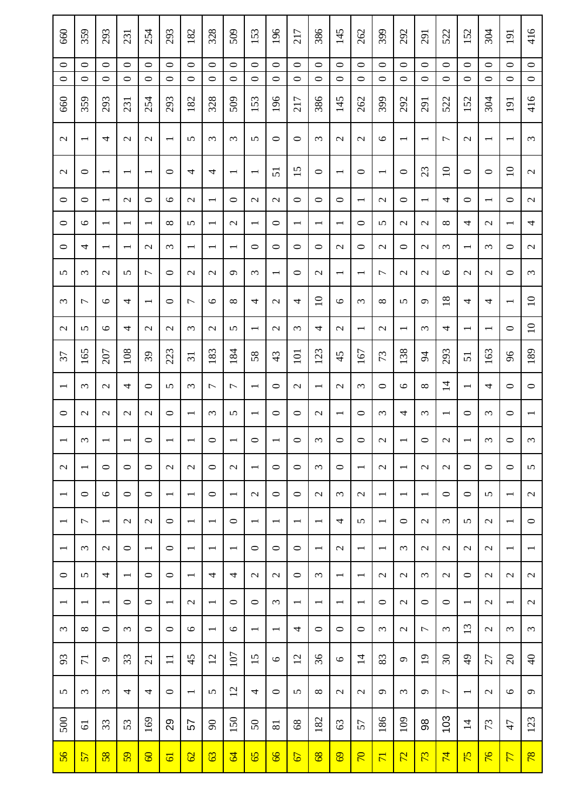| 660                      | 359                      | 293                      | 231                      | 254                      | 293                      | 182                      | 328                         | 509                      | 153                      | 196                      | 217                      | 386                      | 145                      | 262                      | 399                      | 292                      | 291                      | 522                      | 152                      | 304                      | 191                      |  |
|--------------------------|--------------------------|--------------------------|--------------------------|--------------------------|--------------------------|--------------------------|-----------------------------|--------------------------|--------------------------|--------------------------|--------------------------|--------------------------|--------------------------|--------------------------|--------------------------|--------------------------|--------------------------|--------------------------|--------------------------|--------------------------|--------------------------|--|
| $\circ$<br>$\circ$       | $\circ$<br>$\circ$       | 0<br>$\circ$             | $\circ$<br>$\circ$       | $\circ$<br>$\circ$       | $\circ$<br>$\circ$       | $\circ$<br>$\circ$       | $\circ$<br>$\circ$          | $\circ$<br>$\circ$       | $\circ$<br>$\circ$       | $\circ$<br>$\circ$       | $\circ$<br>$\circ$       | $\circ$<br>$\circ$       | $\circ$<br>$\circ$       | $\circ$<br>$\circ$       | $\circ$<br>$\circ$       | $\circ$<br>$\circ$       | $\circ$<br>$\circ$       | $\circ$<br>$\circ$       | $\circ$<br>$\circ$       | 0<br>$\circ$             | $\circ$<br>$\circ$       |  |
| 660                      | 359                      | 293                      | 231                      | 254                      | 293                      | 182                      | 328                         | 509                      | 153                      | 196                      | 217                      | 386                      | 145                      | 262                      | 399                      | 292                      | 291                      | 522                      | 152                      | 304                      | 191                      |  |
| $\mathcal{L}$            | $\overline{\phantom{0}}$ | 4                        | $\mathcal{L}$            | $\mathcal{L}$            | $\overline{\phantom{0}}$ | 5                        | $\epsilon$                  | $\omega$                 | 5                        | $\circ$                  | $\circ$                  | $\epsilon$               | $\mathbf{C}$             | $\mathcal{L}$            | $\circ$                  | $\overline{\phantom{0}}$ | $\overline{\phantom{0}}$ | $\overline{ }$           | $\mathcal{L}$            | $\overline{\phantom{0}}$ | $\overline{\phantom{0}}$ |  |
| $\mathcal{L}$            | ○                        | $\overline{\phantom{0}}$ |                          | $\overline{ }$           | ○                        | 4                        | 4                           | $\overline{\phantom{0}}$ | $\overline{\phantom{0}}$ | $\overline{51}$          | 15                       | $\circ$                  | $\overline{\phantom{0}}$ | $\circ$                  | $\overline{\phantom{0}}$ | 0                        | 23                       | $\overline{10}$          | ᅌ                        | $\circ$                  | $\overline{10}$          |  |
| $\circ$                  | $\circ$                  | $\overline{\phantom{0}}$ | $\mathcal{L}$            | $\circ$                  | $\circ$                  | $\mathcal{L}$            | $\overline{\phantom{0}}$    | ᅌ                        | $\mathcal{L}$            | $\mathcal{L}$            | $\circ$                  | $\circ$                  | $\circ$                  | $\overline{\phantom{0}}$ | $\mathcal{L}$            | 0                        | $\overline{\phantom{0}}$ | 4                        | $\circ$                  | $\overline{\phantom{0}}$ | $\circ$                  |  |
| $\circ$                  | 9                        | $\overline{\phantom{0}}$ | $\overline{\phantom{0}}$ | $\overline{\phantom{0}}$ | $\infty$                 | 5                        | $\overline{\phantom{0}}$    | $\mathcal{L}$            | $\overline{\phantom{0}}$ | $\circ$                  | $\overline{\phantom{0}}$ | $\overline{\phantom{0}}$ | $\overline{\phantom{0}}$ | $\circ$                  | 5                        | $\mathcal{L}$            | $\mathcal{L}$            | ${}^{\infty}$            | 4                        | $\mathcal{L}$            | $\overline{\phantom{0}}$ |  |
| 0                        | 4                        | $\overline{\phantom{0}}$ |                          | $\mathcal{L}$            | $\epsilon$               | $\overline{\phantom{0}}$ | $\overline{\phantom{0}}$    | —                        | $\circ$                  | $\circ$                  | 0                        | $\circ$                  | $\mathbf{C}$             | $\circ$                  | $\mathbf{C}$             | ᅌ                        | $\mathcal{L}$            | 3                        |                          | $\omega$                 | $\circ$                  |  |
| 5                        | $\omega$                 | $\mathbf{C}$             | 5                        | $\overline{ }$           | $\circ$                  | $\mathcal{L}$            | $\mathcal{L}$               | $\sigma$                 | $\epsilon$               | $\overline{\phantom{0}}$ | $\circ$                  | $\mathcal{L}$            | $\overline{\phantom{0}}$ | $\overline{\phantom{0}}$ | 1                        | $\mathcal{L}$            | $\mathbf{\Omega}$        | $\circ$                  | $\mathcal{L}$            | $\mathbf{\sim}$          | $\circ$                  |  |
| $\omega$                 | $\overline{ }$           | $\circ$                  | 4                        | $\overline{\phantom{0}}$ | $\circ$                  | $\overline{ }$           | $\circ$                     | $\infty$                 | 4                        | $\mathcal{L}$            | 4                        | $\overline{10}$          | $\circ$                  | $\epsilon$               | $\infty$                 | 5                        | $\sigma$                 | 18                       | 4                        | 4                        | $\overline{\phantom{0}}$ |  |
| $\mathcal{L}$            | 5                        | $\circ$                  | 4                        | $\mathcal{L}$            | $\mathcal{L}$            | 3                        | $\mathcal{L}$               | 5                        | $\overline{\phantom{0}}$ | $\mathcal{L}$            | 3                        | 4                        | $\mathcal{L}$            | $\overline{\phantom{0}}$ | $\mathcal{L}$            | $\overline{\phantom{0}}$ | $\omega$                 | 4                        | $\overline{\phantom{0}}$ | $\overline{\phantom{0}}$ | $\circ$                  |  |
| 57                       | 165                      | 207                      | 108                      | 39                       | 223                      | $\overline{31}$          | 183                         | 184                      | 58                       | 43                       | 101                      | 123                      | 45                       | 167                      | 73                       | 138                      | $\overline{5}$           | 293                      | $\overline{51}$          | 163                      | 66                       |  |
| $\overline{\phantom{0}}$ | $\epsilon$               | $\mathcal{L}$            | 4                        | $\circ$                  | 5                        | 3                        | $\overline{ }$              | $\overline{ }$           | $\overline{\phantom{0}}$ | $\circ$                  | $\mathcal{L}$            | $\overline{\phantom{0}}$ | $\mathbf{C}$             | 3                        | $\circ$                  | $\circ$                  | $\infty$                 | $\overline{4}$           | $\overline{\phantom{0}}$ | 4                        | $\circ$                  |  |
| $\circ$                  | $\mathcal{L}$            | $\mathcal{L}$            | $\mathbf{C}$             | $\mathcal{L}$            | $\circ$                  | $\overline{\phantom{0}}$ | $\epsilon$                  | 5                        | $\overline{\phantom{0}}$ | $\circ$                  | $\circ$                  | $\mathcal{L}$            | $\overline{\phantom{0}}$ | $\circ$                  | $\epsilon$               | 4                        | $\omega$                 | $\overline{\phantom{0}}$ | ᅌ                        | $\epsilon$               | $\circ$                  |  |
| $\overline{\phantom{0}}$ | $\omega$                 | $\overline{\phantom{0}}$ | $\overline{\phantom{0}}$ | $\circ$                  | $\overline{\phantom{0}}$ | $\overline{\phantom{0}}$ | $\circ$                     | $\overline{\phantom{0}}$ | $\circ$                  | $\overline{\phantom{0}}$ | $\circ$                  | $\epsilon$               | $\circ$                  | $\circ$                  | $\mathcal{L}$            | $\overline{\phantom{0}}$ | $\circ$                  | $\mathcal{L}$            |                          | $\epsilon$               | 0                        |  |
| $\mathcal{L}$            | $\overline{\phantom{0}}$ | $\circ$                  | $\circ$                  | $\circ$                  | $\mathbf{C}$             | $\mathcal{L}$            | $\circ$                     | $\mathcal{L}$            | $\overline{\phantom{0}}$ | $\circ$                  | $\circ$                  | $\epsilon$               | $\circ$                  | $\overline{\phantom{0}}$ | $\mathcal{L}$            | $\overline{\phantom{0}}$ | $\mathcal{L}$            | $\mathcal{L}$            | $\circ$                  | $\circ$                  | $\circ$                  |  |
| $\overline{\phantom{0}}$ | $\circ$                  | 6                        | $\circ$                  | $\circ$                  | $\overline{\phantom{a}}$ | $\overline{\phantom{0}}$ | $\circ$                     | $\overline{\phantom{0}}$ | $\sim$                   | $\circ$                  | $\circ$                  | $\mathbf{C}$             | $\omega$                 | $\mathcal{L}$            | $\overline{\phantom{0}}$ | $\overline{\phantom{0}}$ | $\overline{\phantom{0}}$ | $\circ$                  | $\circ$                  | 5                        | $\overline{\phantom{0}}$ |  |
| $\overline{\phantom{0}}$ | $\overline{ }$           | $\overline{\phantom{0}}$ | $\sim$                   | $\mathcal{L}$            | $\circ$                  | $\overline{\phantom{0}}$ | $\overline{\phantom{0}}$    | $\circ$                  | $\overline{\phantom{0}}$ | $\overline{\phantom{0}}$ | $\overline{\phantom{0}}$ | $\overline{\phantom{0}}$ | 4                        | 5                        | $\overline{\phantom{0}}$ | $\circ$                  | $\mathbf{\sim}$          | $\epsilon$               | 5                        | $\mathbf{\sim}$          | $\overline{\phantom{0}}$ |  |
| $\overline{\phantom{0}}$ | $\omega$                 | $\mathcal{L}$            | $\circ$                  | $\overline{\phantom{0}}$ | $\circ$                  | $\overline{\phantom{0}}$ | $\overline{\phantom{0}}$    | $\overline{\phantom{0}}$ | $\circ$                  | $\circ$                  | $\circ$                  | $\overline{\phantom{0}}$ | $\mathcal{L}$            | $\overline{\phantom{0}}$ | $\overline{\phantom{0}}$ | $\epsilon$               | $\mathcal{L}$            | $\mathcal{L}$            | $\mathbf{\Omega}$        | $\mathbf{C}$             | $\overline{\phantom{0}}$ |  |
| $\circ$                  | $\Omega$                 | 4                        | $\overline{\phantom{0}}$ | $\circ$                  | $\circ$                  | $\overline{\phantom{0}}$ | 4                           | 4                        | $\mathbf{C}$             | $\mathcal{L}$            | $\circ$                  | $\epsilon$               | $\overline{\phantom{0}}$ | $\overline{\phantom{0}}$ | $\mathcal{L}$            | $\mathbf{\Omega}$        | $\epsilon$               | $\mathcal{L}$            | $\circ$                  | $\mathbf{C}$             | $\sim$                   |  |
| $\overline{\phantom{0}}$ | $\overline{\phantom{a}}$ | $\overline{\phantom{0}}$ | $\circ$                  | $\circ$                  | $\overline{\phantom{0}}$ | $\mathcal{L}$            | $\overline{\phantom{0}}$    | $\circ$                  | $\circ$                  | $\epsilon$               | $\overline{\phantom{0}}$ | $\overline{\phantom{0}}$ | $\overline{\phantom{0}}$ | $\overline{\phantom{0}}$ | $\circ$                  | $\mathcal{L}$            | $\circ$                  | $\circ$                  | $\overline{\phantom{0}}$ | $\mathbf{\sim}$          | $\overline{\phantom{0}}$ |  |
| $\omega$                 | $\infty$                 | $\circ$                  | $\omega$                 | $\circ$                  | $\circ$                  | $\circ$                  | $\overline{\phantom{0}}$    | $\circ$                  | $\overline{\phantom{a}}$ | $\overline{\phantom{0}}$ | 4                        | $\circ$                  | $\circ$                  | $\circ$                  | $\epsilon$               | $\mathcal{L}$            | $\overline{ }$           | $\epsilon$               | 13                       | $\mathbf{C}$             | $\epsilon$               |  |
| 93                       | $\overline{7}$           | $\sigma$                 | 33                       | $\overline{c}$           | $\Box$                   | 45                       | 12                          | 107                      | $\overline{15}$          | $\circ$                  | $\overline{2}$           | 36                       | 9                        | $\overline{1}$           | 83                       | $\sigma$                 | $\overline{19}$          | $\mathfrak{S}$           | $\frac{1}{2}$            | 27                       | $\infty$                 |  |
| 5                        | $\epsilon$               | 3                        | 4                        | 4                        | $\circ$                  | $\overline{\phantom{0}}$ | 5                           | 12                       | 4                        | $\circ$                  | 5                        | $\infty$                 | $\sim$                   | $\mathcal{L}$            | $\sigma$                 | $\epsilon$               | $\sigma$                 | 1                        | $\overline{\phantom{0}}$ | $\mathbf{\Omega}$        | $\circ$                  |  |
| 500                      | $\overline{6}$           | 33                       | 53                       | 169                      | 29                       | 57                       | $\mathcal{S}^{\mathcal{O}}$ | 150                      | 50                       | 81                       | $68\,$                   | 182                      | 63                       | 57                       | 186                      | 109                      | 88                       | 103                      | $\overline{4}$           | 73                       | 47                       |  |
| 56                       | 57                       | $\overline{58}$          | $\overline{59}$          | $\overline{60}$          | $\overline{6}$           | $\overline{62}$          | 63                          | $\mathcal{Q}$            | 65                       | $\frac{9}{9}$            | 67                       | $\frac{8}{8}$            | $\overline{69}$          | $\overline{70}$          | $\overline{7}$           | 22                       | 73                       | $\overline{7}$           | 75                       | $\overline{76}$          | $\overline{7}$           |  |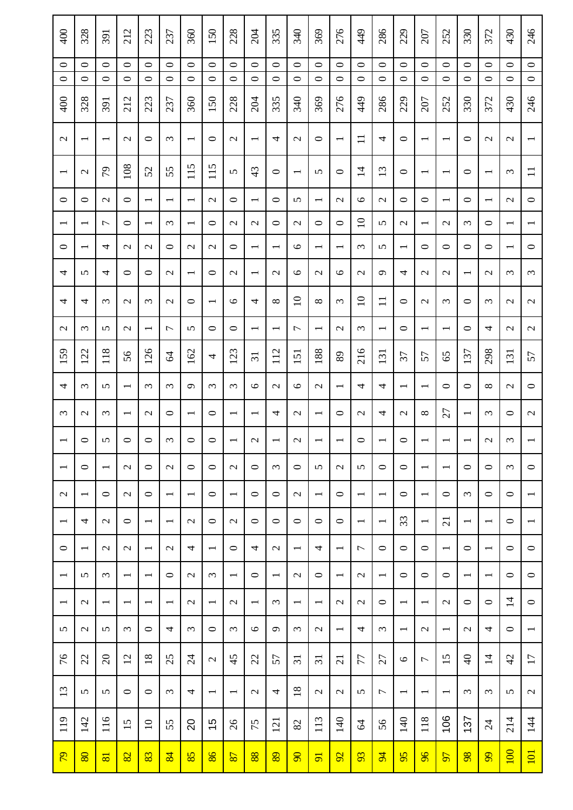| 400                      | 328                      | 391                      | 212                      | 223                      | 237                      | 360                      | 150                      | 228                      | 204                      | 335                      | 340                      | 369                      | 276                      | 449                      | 286                      | 229                      | 207                      | 252                      | 330                      | 372                      | 430                      | 246                      |
|--------------------------|--------------------------|--------------------------|--------------------------|--------------------------|--------------------------|--------------------------|--------------------------|--------------------------|--------------------------|--------------------------|--------------------------|--------------------------|--------------------------|--------------------------|--------------------------|--------------------------|--------------------------|--------------------------|--------------------------|--------------------------|--------------------------|--------------------------|
| $\circ$<br>$\circ$       | $\circ$<br>$\circ$       | $\circ$<br>$\circ$       | $\circ$<br>$\circ$       | $\circ$<br>$\circ$       | $\circ$<br>$\circ$       | $\circ$<br>$\circ$       | $\circ$<br>$\circ$       | $\circ$<br>$\circ$       | $\circ$<br>$\circ$       | $\circ$<br>$\circ$       | $\circ$<br>$\circ$       | $\circ$<br>$\circ$       | $\circ$<br>$\circ$       | $\circ$<br>$\circ$       | $\circ$<br>$\circ$       | $\circ$<br>$\circ$       | $\circ$<br>$\circ$       | $\circ$<br>$\circ$       | $\circ$<br>$\circ$       | $\circ$<br>$\circ$       | $\circ$<br>$\circ$       | $\circ$<br>$\circ$       |
| 400                      | 328                      | 391                      | 212                      | 223                      | 237                      | 360                      | 150                      | 228                      | 204                      | 335                      | 340                      | 369                      | 276                      | 449                      | 286                      | 229                      | 207                      | 252                      | 330                      | 372                      | 430                      | 246                      |
| $\mathbf{C}$             | $\overline{\phantom{0}}$ | $\overline{\phantom{0}}$ | $\mathcal{L}$            | $\circ$                  | $\omega$                 | $\overline{\phantom{0}}$ | $\circ$                  | $\mathcal{L}$            | $\overline{\phantom{0}}$ | 4                        | $\mathcal{L}$            | $\circ$                  | $\overline{\phantom{0}}$ | $\Box$                   | 4                        | $\circ$                  | $\overline{\phantom{0}}$ | $\overline{\phantom{0}}$ | ○                        | $\mathcal{L}$            | $\mathcal{L}$            |                          |
| $\overline{\phantom{0}}$ | $\mathcal{L}$            | 64                       | 108                      | 52                       | 55                       | 115                      | 115                      | 5                        | 43                       | $\bullet$                | $\overline{\phantom{0}}$ | 5                        | $\circ$                  | $\overline{1}$           | 13                       | $\circ$                  | $\overline{\phantom{0}}$ | $\overline{\phantom{0}}$ | ᅌ                        | $\overline{\phantom{0}}$ | $\epsilon$               | $\Xi$                    |
| $\circ$                  | $\circ$                  | $\mathcal{L}$            | $\circ$                  | $\overline{\phantom{0}}$ | $\overline{\phantom{0}}$ | $\overline{\phantom{0}}$ | $\mathcal{L}$            | $\circ$                  | $\overline{\phantom{0}}$ | $\circ$                  | 5                        | $\overline{\phantom{0}}$ | $\mathcal{L}$            | $\circ$                  | $\mathcal{L}$            | $\circ$                  | $\circ$                  | $\overline{\phantom{0}}$ | $\circ$                  | $\overline{\phantom{0}}$ | $\mathcal{L}$            | $\circ$                  |
| $\overline{\phantom{0}}$ | $\overline{\phantom{0}}$ | $\overline{ }$           | $\circ$                  | $\overline{\phantom{0}}$ | $\omega$                 | $\overline{\phantom{0}}$ | $\circ$                  | $\mathcal{L}$            | $\mathcal{L}$            | $\circ$                  | $\mathcal{L}$            | $\circ$                  | $\circ$                  | $\overline{10}$          | 5                        | $\mathcal{L}$            | $\overline{\phantom{0}}$ | $\mathcal{L}$            | $\omega$                 | $\circ$                  |                          |                          |
| 0                        | $\overline{\phantom{0}}$ | 4                        | $\mathbf{C}$             | $\mathcal{L}$            | $\circ$                  | $\mathcal{L}$            | $\mathcal{L}$            | 0                        | $\overline{\phantom{0}}$ | $\overline{\phantom{0}}$ | $\circ$                  | $\overline{\phantom{0}}$ | $\overline{\phantom{0}}$ | $\epsilon$               | 5                        | $\overline{\phantom{0}}$ | $\circ$                  | $\circ$                  | ○                        | $\circ$                  | $\overline{\phantom{0}}$ | $\circ$                  |
| 4                        | 5                        | 4                        | $\circ$                  | $\circ$                  | $\mathcal{L}$            | $\overline{\phantom{0}}$ | $\circ$                  | $\mathcal{L}$            | $\overline{\phantom{0}}$ | $\mathcal{L}$            | $\circ$                  | $\mathcal{L}$            | $\circ$                  | $\mathcal{L}$            | $\sigma$                 | 4                        | $\mathcal{L}$            | $\mathcal{L}$            | $\overline{\phantom{0}}$ | $\mathcal{L}$            | $\epsilon$               | $\epsilon$               |
| 4                        | 4                        | $\epsilon$               | $\mathcal{L}$            | $\epsilon$               | $\mathcal{L}$            | $\circ$                  | $\overline{\phantom{0}}$ | $\circ$                  | 4                        | ${}^{\circ}$             | $\overline{10}$          | $\infty$                 | $\epsilon$               | $\overline{10}$          | $\Box$                   | $\circ$                  | $\mathcal{L}$            | $\epsilon$               | ᅌ                        | $\epsilon$               | $\mathcal{L}$            | $\mathcal{L}$            |
| $\mathbf{\sim}$          | $\omega$                 | 5                        | $\mathbf{C}$             | $\overline{\phantom{0}}$ | 7                        | 5                        | $\circ$                  | 0                        | $\overline{\phantom{0}}$ | $\overline{\phantom{0}}$ | $\overline{ }$           | $\overline{\phantom{0}}$ | $\sim$                   | $\epsilon$               | $\overline{\phantom{0}}$ | ᅌ                        | $\overline{\phantom{0}}$ | $\overline{\phantom{0}}$ | ○                        | 4                        | $\mathbf{\sim}$          | $\mathcal{L}$            |
| 159                      | 122                      | 118                      | 56                       | 126                      | $\mathcal{L}$            | 162                      | 4                        | 123                      | $\overline{31}$          | 112                      | 151                      | 188                      | 89                       | 216                      | 131                      | 37                       | 57                       | 65                       | 137                      | 298                      | 131                      | 57                       |
| 4                        | $\omega$                 | 5                        |                          | $\epsilon$               | $\omega$                 | $\sigma$                 | $\epsilon$               | $\omega$                 | $\circ$                  | $\mathcal{L}$            | $\circ$                  | $\mathbf{\sim}$          | $\overline{\phantom{0}}$ | 4                        | 4                        | $\overline{\phantom{0}}$ | $\overline{\phantom{0}}$ | $\circ$                  | ○                        | $\infty$                 | $\mathcal{L}$            | $\circ$                  |
| $\omega$                 | $\mathbf{\Omega}$        | $\epsilon$               | $\overline{\phantom{0}}$ | $\mathcal{L}$            | $\circ$                  | $\overline{\phantom{0}}$ | $\circ$                  | $\overline{\phantom{0}}$ | $\overline{\phantom{0}}$ | 4                        | $\mathbf{\sim}$          | $\overline{\phantom{0}}$ | $\circ$                  | $\mathcal{L}$            | 4                        | $\mathcal{L}$            | $\infty$                 | 27                       | $\overline{\phantom{0}}$ | $\epsilon$               | $\circ$                  | $\mathcal{L}$            |
| $\overline{\phantom{0}}$ | $\circ$                  | 5                        | $\circ$                  | $\circ$                  | $\epsilon$               | $\circ$                  | $\circ$                  | $\overline{\phantom{0}}$ | $\mathcal{L}$            | $\overline{\phantom{0}}$ | $\mathcal{L}$            | $\overline{\phantom{0}}$ | $\overline{\phantom{0}}$ | $\circ$                  | $\overline{\phantom{0}}$ | $\circ$                  | $\overline{\phantom{0}}$ | $\overline{\phantom{0}}$ |                          | $\mathcal{L}$            | $\epsilon$               |                          |
| $\overline{\phantom{0}}$ | $\circ$                  | $\overline{\phantom{0}}$ | $\sim$                   | $\circ$                  | $\mathbf{\sim}$          | $\circ$                  | $\circ$                  | $\mathbf{\Omega}$        | $\circ$                  | $\epsilon$               | $\circ$                  | 5                        | $\mathbf{C}$             | 5                        | $\circ$                  | $\circ$                  | $\overline{\phantom{0}}$ | $\overline{\phantom{0}}$ | $\circ$                  | $\circ$                  | $\omega$                 | $\circ$                  |
| $\mathcal{L}$            | $\overline{\phantom{a}}$ | $\circ$                  | $\sim$                   | $\circ$                  | $\overline{\phantom{0}}$ | $\overline{\phantom{0}}$ | $\circ$                  | $\overline{\phantom{0}}$ | $\circ$                  | $\circ$                  | $\mathcal{L}$            | $\overline{\phantom{0}}$ | $\circ$                  | $\overline{\phantom{0}}$ | $\overline{\phantom{0}}$ | $\circ$                  | $\overline{\phantom{m}}$ | $\circ$                  | $\omega$                 | $\circ$                  | $\circ$                  | $\overline{\phantom{0}}$ |
| $\overline{\phantom{0}}$ | 4                        | $\mathbf{C}$             | $\circ$                  | $\overline{\phantom{0}}$ | $\overline{\phantom{0}}$ | $\mathcal{L}$            | $\circ$                  | $\mathcal{L}$            | $\circ$                  | $\circ$                  | $\circ$                  | $\circ$                  | $\circ$                  | $\overline{\phantom{0}}$ | $\overline{\phantom{0}}$ | 33                       | $\overline{\phantom{0}}$ | $\overline{c}$           | $\overline{\phantom{0}}$ | $\overline{\phantom{0}}$ | $\circ$                  | $\overline{\phantom{0}}$ |
| $\circ$                  | $\overline{\phantom{0}}$ | $\mathcal{L}$            | $\mathcal{L}$            | $\overline{\phantom{0}}$ | $\mathbf{C}$             | 4                        | $\overline{\phantom{0}}$ | $\circ$                  | 4                        | $\mathcal{L}$            | $\overline{\phantom{0}}$ | 4                        | $\overline{\phantom{0}}$ | $\overline{ }$           | $\circ$                  | $\circ$                  | $\circ$                  | $\overline{\phantom{0}}$ | $\circ$                  | $\overline{\phantom{0}}$ | $\circ$                  | $\circ$                  |
| $\overline{\phantom{0}}$ | 5                        | $\omega$                 | $\overline{\phantom{0}}$ | $\overline{\phantom{0}}$ | $\circ$                  | $\mathcal{L}$            | $\omega$                 | $\overline{\phantom{0}}$ | $\circ$                  | $\overline{\phantom{0}}$ | $\mathbf{\Omega}$        | $\circ$                  | $\overline{\phantom{0}}$ | $\mathcal{L}$            | $\overline{\phantom{0}}$ | $\circ$                  | $\circ$                  | $\circ$                  | $\overline{\phantom{0}}$ | $\overline{\phantom{0}}$ | $\circ$                  | $\circ$                  |
| $\overline{\phantom{0}}$ | $\mathcal{L}$            | $\overline{\phantom{0}}$ | $\overline{\phantom{0}}$ | $\overline{\phantom{0}}$ | $\overline{\phantom{0}}$ | $\mathcal{L}$            | $\overline{\phantom{0}}$ | $\mathbf{\Omega}$        | $\overline{\phantom{0}}$ | $\epsilon$               | $\overline{\phantom{0}}$ | $\overline{\phantom{0}}$ | $\sim$                   | $\mathcal{L}$            | $\circ$                  | $\overline{\phantom{0}}$ | $\overline{\phantom{0}}$ | $\mathcal{L}$            | $\circ$                  | $\circ$                  | $\overline{1}$           | $\circ$                  |
| $\sigma$                 | $\sim$                   | 5                        | $\omega$                 | $\circ$                  | 4                        | $\epsilon$               | $\circ$                  | $\epsilon$               | $\circ$                  | $\sigma$                 | $\omega$                 | $\mathcal{L}$            | $\overline{\phantom{a}}$ | 4                        | $\epsilon$               | $\overline{\phantom{0}}$ | $\mathbf{\sim}$          | $\overline{\phantom{0}}$ | $\mathbf{\Omega}$        | 4                        | $\circ$                  | $\overline{\phantom{0}}$ |
| 76                       | $\mathfrak{L}$           | $\Omega$                 | $\overline{2}$           | 18                       | 25                       | $\mathcal{Z}$            | $\mathcal{L}$            | 45                       | $\mathcal{Z}$            | 57                       | $\overline{31}$          | $\overline{\mathcal{E}}$ | $\overline{c}$           | 77                       | 27                       | $\circ$                  | $\overline{ }$           | 15                       | $\Theta$                 | $\overline{1}$           | $\overline{4}$           | $\overline{17}$          |
| 13                       | $\Omega$                 | 5                        | $\circ$                  | $\circ$                  | $\omega$                 | 4                        | $\overline{\phantom{0}}$ | $\overline{\phantom{0}}$ | $\mathcal{L}$            | 4                        | 18                       | $\mathbf{C}$             | $\mathcal{L}$            | 5                        | 7                        | $\overline{\phantom{0}}$ | $\overline{\phantom{a}}$ | $\overline{\phantom{0}}$ | $\omega$                 | $\omega$                 | 5                        | $\mathcal{L}$            |
| 119                      | 142                      | 116                      | 15                       | $\overline{10}$          | 55                       | $\overline{c}$           | $\frac{5}{1}$            | 26                       | 75                       | 121                      | 82                       | 113                      | 140                      | 64                       | 56                       | 140                      | 118                      | 106                      | 137                      | 24                       | 214                      | 14                       |
| $\overline{p}$           | 80                       | $\overline{\mathbf{8}}$  | 82                       | 83                       | $\overline{84}$          | 85                       | 86                       | 87                       | 88                       | 89                       | $\overline{\mathbf{8}}$  | $\overline{5}$           | $\overline{92}$          | 93                       | $\overline{5}$           | 95                       | 96                       | $\overline{6}$           | $\overline{98}$          | $\overline{9}$           | <u>100</u>               | <b>101</b>               |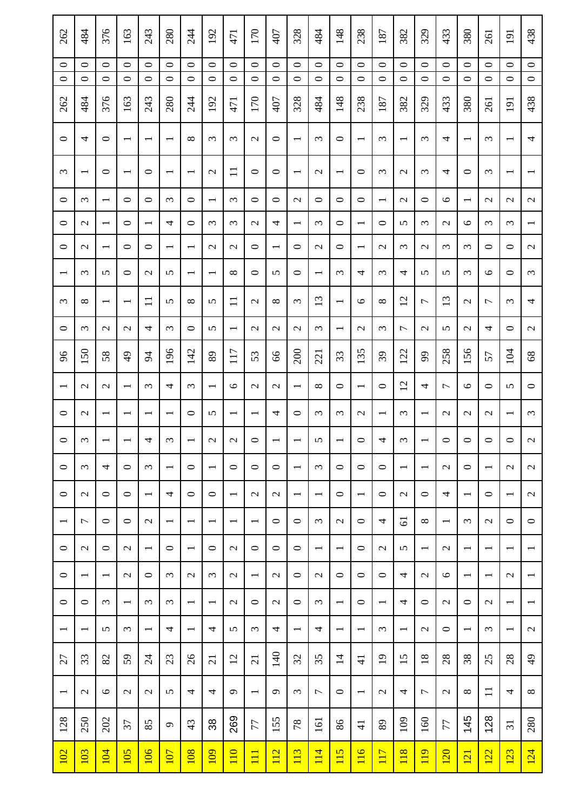| 262                      | 484                      | 376                      | 163                      | 243                      | 280                      | 244                      | 192                      | 471                      | 170                      | 407                      | 328                      | 484                      | 148                      | 238                      | 187                      | 382                      | 329                      | 433                      | 380                      | 261                      | 191                      | 438                      |
|--------------------------|--------------------------|--------------------------|--------------------------|--------------------------|--------------------------|--------------------------|--------------------------|--------------------------|--------------------------|--------------------------|--------------------------|--------------------------|--------------------------|--------------------------|--------------------------|--------------------------|--------------------------|--------------------------|--------------------------|--------------------------|--------------------------|--------------------------|
| $\circ$<br>$\circ$       | $\circ$<br>$\circ$       | $\circ$<br>$\circ$       | $\circ$<br>$\circ$       | $\circ$<br>$\circ$       | $\circ$<br>$\circ$       | $\circ$<br>$\circ$       | $\circ$<br>$\circ$       | $\circ$<br>$\circ$       | $\circ$<br>$\circ$       | $\circ$<br>$\circ$       | $\circ$<br>$\circ$       | $\circ$<br>$\circ$       | $\circ$<br>$\circ$       | $\circ$<br>$\circ$       | $\circ$<br>$\circ$       | $\circ$<br>$\circ$       | $\circ$<br>$\circ$       | $\circ$<br>$\circ$       | $\circ$<br>$\circ$       | $\circ$<br>$\circ$       | $\circ$<br>$\circ$       | $\circ$<br>$\circ$       |
|                          |                          |                          |                          |                          |                          |                          |                          |                          |                          |                          |                          |                          |                          |                          |                          |                          |                          |                          |                          |                          |                          |                          |
| 262                      | 484                      | 376                      | 163                      | 243                      | 280                      | 244                      | 192                      | 471                      | 170                      | 407                      | 328                      | 484                      | 148                      | 238                      | 187                      | 382                      | 329                      | 433                      | 380                      | 261                      | 191                      | 438                      |
| 0                        | 4                        | 0                        | $\overline{\phantom{0}}$ | $\overline{\phantom{0}}$ | $\overline{\phantom{0}}$ | $\infty$                 | $\epsilon$               | $\epsilon$               | $\mathcal{L}$            | $\circ$                  | $\overline{\phantom{0}}$ | $\epsilon$               | $\circ$                  | $\overline{\phantom{0}}$ | $\epsilon$               | $\overline{\phantom{0}}$ | $\omega$                 | 4                        | $\overline{\phantom{0}}$ | $\epsilon$               | $\overline{\phantom{0}}$ | 4                        |
| $\epsilon$               | $\overline{\phantom{0}}$ | $\circ$                  | $\overline{\phantom{0}}$ | $\circ$                  |                          | $\overline{\phantom{0}}$ | $\mathcal{L}$            | $\Xi$                    | $\circ$                  | $\circ$                  | $\overline{\phantom{0}}$ | $\mathcal{L}$            | $\overline{\phantom{0}}$ | $\circ$                  | 3                        | $\mathcal{L}$            | $\omega$                 | 4                        | ○                        | $\mathfrak{c}$           |                          |                          |
| 0                        | $\omega$                 | $\overline{\phantom{0}}$ | $\circ$                  | $\circ$                  | $\omega$                 | $\circ$                  | $\overline{\phantom{0}}$ | $\epsilon$               | $\circ$                  | $\circ$                  | $\mathcal{L}$            | $\circ$                  | $\circ$                  | $\circ$                  | $\overline{\phantom{0}}$ | $\mathcal{L}$            | $\circ$                  | $\circ$                  | $\overline{\phantom{0}}$ | $\mathcal{L}$            | $\mathcal{L}$            | $\mathcal{L}$            |
| $\circ$                  | $\mathcal{L}$            | $\overline{\phantom{0}}$ | $\circ$                  | $\overline{\phantom{0}}$ | 4                        | $\circ$                  | $\epsilon$               | $\epsilon$               | $\mathcal{L}$            | 4                        | $\overline{\phantom{0}}$ | $\epsilon$               | $\circ$                  | $\overline{\phantom{0}}$ | $\circ$                  | 5                        | $\omega$                 | $\mathcal{L}$            | $\circ$                  | $\epsilon$               | $\omega$                 | $\overline{\phantom{0}}$ |
| $\circ$                  | $\mathcal{L}$            | $\overline{\phantom{0}}$ | $\circ$                  | $\circ$                  | $\overline{\phantom{0}}$ | $\overline{\phantom{0}}$ | $\mathcal{L}$            | $\mathcal{L}$            | $\circ$                  | $\overline{\phantom{0}}$ | $\circ$                  | $\mathcal{L}$            | $\circ$                  | $\overline{\phantom{0}}$ | $\mathcal{L}$            | $\epsilon$               | $\mathcal{L}$            | 3                        | ξ                        | 0                        | $\circ$                  | $\mathcal{L}$            |
|                          | $\omega$                 | 5                        | $\circ$                  | $\mathcal{L}$            | 5                        | $\overline{\phantom{0}}$ | $\overline{\phantom{0}}$ | $\infty$                 | $\circ$                  | 5                        | $\circ$                  | $\overline{\phantom{0}}$ | $\epsilon$               | 4                        | 3                        | 4                        | 5                        | 5                        | 3                        | $\circ$                  | $\circ$                  | $\epsilon$               |
| $\epsilon$               | ${}^{\circ}$             | $\overline{\phantom{0}}$ | $\overline{\phantom{0}}$ | $\Box$                   | 5                        | $\infty$                 | 5                        | $\Xi$                    | $\mathcal{L}$            | $\infty$                 | $\epsilon$               | 13                       | $\overline{\phantom{0}}$ | $\circ$                  | $\infty$                 | 12                       | $\overline{ }$           | 13                       | $\mathcal{L}$            | $\overline{ }$           | $\epsilon$               | 4                        |
| $\circ$                  | $\epsilon$               | $\mathcal{L}$            | $\mathcal{L}$            | 4                        | $\epsilon$               | $\circ$                  | 5                        | $\overline{\phantom{0}}$ | $\mathcal{L}$            | $\mathcal{L}$            | $\mathcal{L}$            | $\epsilon$               | $\overline{\phantom{0}}$ | $\mathcal{L}$            | 3                        | $\overline{ }$           | $\mathcal{L}$            | 5                        | $\mathcal{L}$            | 4                        | $\circ$                  | $\mathcal{L}$            |
| 96                       | 150                      | 58                       | $\frac{1}{2}$            | $\overline{5}$           | 196                      | 142                      | 89                       | 117                      | 53                       | 99                       | 200                      | 221                      | 33                       | 135                      | 39                       | 122                      | 99                       | 258                      | 156                      | 57                       | 104                      | $\sqrt{8}$               |
| $\overline{\phantom{0}}$ | $\mathcal{L}$            | $\mathcal{L}$            | $\overline{\phantom{0}}$ | $\epsilon$               | 4                        | $\epsilon$               | $\overline{\phantom{0}}$ | $\circ$                  | $\mathcal{L}$            | $\mathcal{L}$            | $\overline{\phantom{0}}$ | ${}^{\circ}$             | $\circ$                  | $\overline{\phantom{0}}$ | $\circ$                  | $\overline{c}$           | 4                        | 1                        | $\circ$                  | $\circ$                  | 5                        | $\circ$                  |
| $\circ$                  | $\mathcal{L}$            | $\overline{\phantom{0}}$ | $\overline{\phantom{0}}$ | $\overline{\phantom{0}}$ | $\overline{\phantom{0}}$ | $\circ$                  | 5                        | $\overline{\phantom{0}}$ | $\overline{\phantom{0}}$ | 4                        | $\circ$                  | $\epsilon$               | $\omega$                 | $\mathcal{L}$            | $\overline{\phantom{0}}$ | $\omega$                 | $\overline{\phantom{0}}$ | $\mathcal{L}$            | $\mathcal{L}$            | $\mathcal{L}$            | $\overline{\phantom{0}}$ | $\omega$                 |
| $\circ$                  | $\omega$                 | $\overline{ }$           |                          | 4                        | $\epsilon$               | $\overline{\phantom{0}}$ | $\mathcal{L}$            | $\mathcal{L}$            | $\circ$                  | $\overline{\phantom{0}}$ |                          | 5                        | $\overline{\phantom{0}}$ | $\circ$                  | 4                        | $\epsilon$               | $\overline{\phantom{0}}$ | $\circ$                  | $\circ$                  | $\circ$                  | $\circ$                  | $\mathbf{C}$             |
| $\circ$                  | $\epsilon$               | 4                        | $\circ$                  | $\epsilon$               | $\overline{\phantom{a}}$ | $\circ$                  | $\overline{\phantom{0}}$ | $\circ$                  | $\circ$                  | $\circ$                  | $\overline{\phantom{0}}$ | $\epsilon$               | $\circ$                  | $\circ$                  | $\circ$                  | $\overline{\phantom{0}}$ | $\overline{\phantom{0}}$ | $\mathcal{L}$            | $\circ$                  | $\overline{\phantom{0}}$ | $\mathcal{L}$            | $\mathcal{L}$            |
| $\circ$                  | $\mathcal{L}$            | $\circ$                  | $\circ$                  | $\overline{\phantom{0}}$ | 4                        | $\circ$                  | $\circ$                  | $\overline{\phantom{0}}$ | $\mathbf{\Omega}$        | $\mathcal{L}$            | $\overline{\phantom{0}}$ | $\overline{\phantom{0}}$ | $\circ$                  | $\overline{\phantom{0}}$ | $\circ$                  | $\mathcal{L}$            | $\circ$                  | 4                        | $\overline{\phantom{0}}$ | $\circ$                  | $\overline{\phantom{0}}$ | $\mathcal{L}$            |
| $\overline{\phantom{0}}$ | $\overline{ }$           | $\circ$                  | $\circ$                  | $\mathcal{L}$            | $\overline{\phantom{0}}$ | $\overline{\phantom{0}}$ | $\overline{\phantom{0}}$ | $\overline{\phantom{0}}$ | $\overline{\phantom{a}}$ | $\circ$                  | $\circ$                  | $\epsilon$               | $\mathcal{L}$            | $\circ$                  | 4                        | $\overline{6}$           | $\infty$                 | $\overline{\phantom{0}}$ | $\omega$                 | $\mathbf{C}$             | $\circ$                  | $\circ$                  |
| $\circ$                  | $\sim$                   | $\circ$                  | $\mathcal{L}$            | $\overline{\phantom{0}}$ | $\circ$                  | $\overline{\phantom{0}}$ | $\circ$                  | $\mathbf{\Omega}$        | $\circ$                  | $\circ$                  | $\circ$                  | $\overline{\phantom{0}}$ | $\overline{\phantom{a}}$ | $\circ$                  | $\mathcal{L}$            | 5                        | $\overline{\phantom{0}}$ | $\mathcal{L}$            | $\overline{\phantom{0}}$ | $\overline{\phantom{0}}$ | $\overline{\phantom{a}}$ | $\overline{\phantom{0}}$ |
| $\circ$                  | $\overline{\phantom{a}}$ | $\overline{\phantom{0}}$ | $\sim$                   | $\circ$                  | $\omega$                 | $\mathcal{L}$            | 3                        | $\mathcal{L}$            | $\overline{\phantom{a}}$ | $\mathcal{L}$            | $\circ$                  | $\mathcal{L}$            | $\circ$                  | $\circ$                  | $\circ$                  | 4                        | $\mathbf{\Omega}$        | $\circ$                  | $\overline{\phantom{0}}$ | $\overline{\phantom{0}}$ | $\mathcal{L}$            | $\overline{\phantom{0}}$ |
| $\circ$                  | $\circ$                  | $\epsilon$               | $\overline{\phantom{0}}$ | $\epsilon$               | $\omega$                 | $\overline{\phantom{0}}$ | $\overline{\phantom{0}}$ | $\mathbf{\Omega}$        | $\circ$                  | $\mathcal{L}$            | $\circ$                  | $\epsilon$               | $\overline{\phantom{0}}$ | $\circ$                  | $\overline{\phantom{0}}$ | 4                        | $\circ$                  | $\mathcal{L}$            | ᅌ                        | $\mathbf{\sim}$          | $\overline{\phantom{0}}$ | $\overline{\phantom{0}}$ |
| $\overline{\phantom{0}}$ | $\overline{\phantom{a}}$ | 5                        | $\epsilon$               | $\overline{\phantom{0}}$ | 4                        | $\overline{\phantom{0}}$ | 4                        | 5                        | $\omega$                 | 4                        | $\overline{\phantom{0}}$ | 4                        | $\overline{\phantom{0}}$ | $\overline{\phantom{0}}$ | $\epsilon$               | $\overline{\phantom{0}}$ | $\mathcal{L}$            | $\circ$                  | $\overline{\phantom{0}}$ | $\epsilon$               | $\overline{\phantom{a}}$ | $\mathcal{L}$            |
| 27                       | 33                       | 82                       | 59                       | $\overline{24}$          | 23                       | $\delta$                 | $\overline{c}$           | $\overline{c}$           | $\overline{c}$           | 140                      | $\mathfrak{L}$           | 35                       | $\overline{4}$           | $\frac{1}{4}$            | $\overline{19}$          | 15                       | $\overline{18}$          | 28                       | 38                       | 25                       | 28                       | $\frac{1}{2}$            |
| $\overline{\phantom{0}}$ | $\mathbf{\Omega}$        | $\circ$                  | $\mathbf{C}$             | $\mathcal{L}$            | 5                        | 4                        | 4                        | $\sigma$                 | $\overline{\phantom{a}}$ | $\sigma$                 | $\epsilon$               | $\overline{ }$           | $\circ$                  | $\overline{\phantom{0}}$ | $\mathcal{L}$            | 4                        | $\overline{ }$           | $\mathcal{L}$            | ${}^{\circ}$             | $\Box$                   | 4                        | $\infty$                 |
| 128                      | 250                      | 202                      | 37                       | 85                       | $\sigma$                 | 43                       | 38                       | 269                      | 77                       | 155                      | 78                       | 161                      | 86                       | $\overline{4}$           | 89                       | 109                      | 160                      | 77                       | 145                      | 128                      | $\overline{31}$          | 280                      |
| <u>102</u>               | 103                      | 104                      | 105                      | 106                      | 107                      | 108                      | <u>109</u>               | $\overline{110}$         | $\overline{11}$          | 112                      | 113                      | 114                      | 115                      | 116                      | 117                      | 118                      | 119                      | <b>120</b>               | 121                      | 122                      | 123                      | 124                      |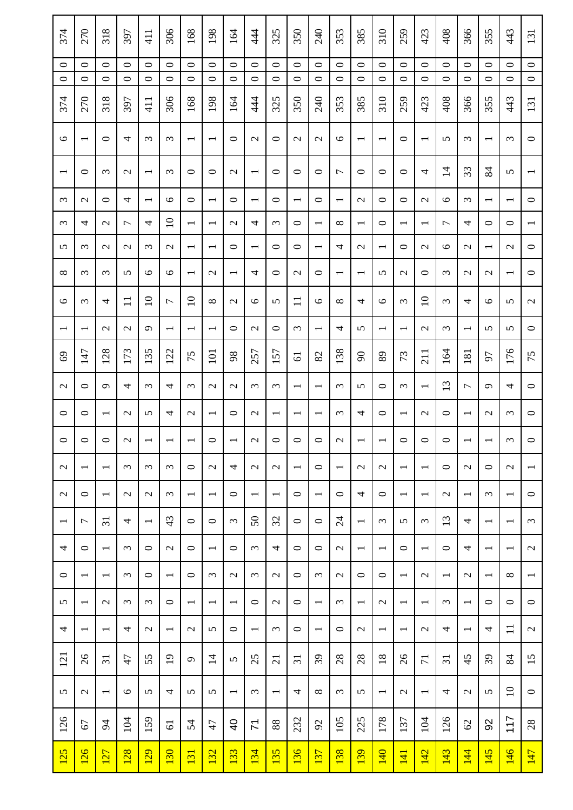| 374                      | 270                      | 318                      | 397                | 411                      | 306                      | 168                      | 198                      | 164                      | 44                       | 325                      | 350                      | 240                      | 353                      | 385                      | 310                      | 259                      | 423                      | 408                      | 366                      | 355                      | 443                      | 131                      |
|--------------------------|--------------------------|--------------------------|--------------------|--------------------------|--------------------------|--------------------------|--------------------------|--------------------------|--------------------------|--------------------------|--------------------------|--------------------------|--------------------------|--------------------------|--------------------------|--------------------------|--------------------------|--------------------------|--------------------------|--------------------------|--------------------------|--------------------------|
| $\circ$<br>$\circ$       | $\circ$<br>$\circ$       | $\circ$<br>$\circ$       | $\circ$<br>$\circ$ | $\circ$<br>$\circ$       | $\circ$<br>$\circ$       | $\circ$<br>$\circ$       | $\circ$<br>$\circ$       | $\circ$<br>$\circ$       | $\circ$<br>$\circ$       | $\circ$<br>$\circ$       | $\circ$<br>$\circ$       | $\circ$<br>$\circ$       | $\circ$<br>$\circ$       | $\circ$<br>$\circ$       | $\circ$<br>$\circ$       | $\circ$<br>$\circ$       | $\circ$<br>$\circ$       | $\circ$<br>$\circ$       | $\circ$<br>$\circ$       | $\circ$<br>$\circ$       | $\circ$<br>$\circ$       | $\circ$<br>$\circ$       |
|                          |                          |                          |                    |                          |                          |                          |                          |                          |                          |                          |                          |                          |                          |                          |                          |                          |                          |                          |                          |                          |                          |                          |
| 374                      | 270                      | 318                      | 397                | 411                      | 306                      | 168                      | 198                      | 164                      | 44                       | 325                      | 350                      | 240                      | 353                      | 385                      | 310                      | 259                      | 423                      | 408                      | 366                      | 355                      | 443                      | 131                      |
| $\circ$                  | $\overline{\phantom{0}}$ | 0                        | 4                  | $\epsilon$               | $\omega$                 | $\overline{\phantom{0}}$ | $\overline{\phantom{0}}$ | 0                        | $\mathbf{\Omega}$        | $\circ$                  | $\mathbf{\sim}$          | $\mathcal{L}$            | $\circ$                  | $\overline{\phantom{0}}$ | $\overline{\phantom{0}}$ | 0                        | $\overline{\phantom{0}}$ | 5                        | $\omega$                 | $\overline{\phantom{0}}$ | $\omega$                 | $\circ$                  |
| $\overline{\phantom{0}}$ | $\circ$                  | ξ                        | $\mathcal{L}$      | $\overline{\phantom{0}}$ | $\epsilon$               | $\circ$                  | $\circ$                  | $\mathcal{L}$            | $\overline{\phantom{0}}$ | $\circ$                  | $\circ$                  | $\circ$                  | $\overline{ }$           | $\circ$                  | $\circ$                  | 0                        | 4                        | $\overline{1}$           | 33                       | 84                       | 5                        |                          |
| $\omega$                 | $\mathcal{L}$            | $\circ$                  | 4                  | $\overline{\phantom{0}}$ | $\circ$                  | $\circ$                  | $\overline{\phantom{0}}$ | 0                        | $\overline{\phantom{0}}$ | $\circ$                  | $\overline{\phantom{0}}$ | $\circ$                  | $\overline{\phantom{0}}$ | $\mathcal{L}$            | $\circ$                  | $\circ$                  | $\mathcal{L}$            | $\circ$                  | $\epsilon$               | $\overline{\phantom{0}}$ | $\overline{\phantom{0}}$ | $\circ$                  |
| $\epsilon$               | 4                        | $\mathcal{L}$            | $\overline{ }$     | 4                        | $\overline{10}$          | $\overline{\phantom{0}}$ | $\overline{\phantom{0}}$ | $\mathcal{L}$            | 4                        | $\epsilon$               | $\circ$                  | $\overline{\phantom{0}}$ | $\infty$                 | $\overline{\phantom{0}}$ | $\circ$                  | $\overline{\phantom{0}}$ | $\overline{\phantom{0}}$ | 1                        | 4                        | $\circ$                  | $\circ$                  | $\overline{\phantom{0}}$ |
| 5                        | $\epsilon$               | $\mathcal{L}$            | $\mathcal{L}$      | $\epsilon$               | $\mathcal{L}$            | $\overline{\phantom{0}}$ | $\overline{\phantom{0}}$ | ᅌ                        | $\overline{\phantom{0}}$ | $\circ$                  | 0                        | $\overline{\phantom{0}}$ | 4                        | $\mathcal{L}$            | $\overline{\phantom{0}}$ | ᅌ                        | $\mathcal{L}$            | 9                        | $\mathcal{L}$            | $\overline{\phantom{0}}$ | $\mathbf{\sim}$          | $\circ$                  |
| ${}^{\circ}$             | $\epsilon$               | 3                        | 5                  | $\circ$                  | $\circ$                  | $\overline{\phantom{0}}$ | $\mathcal{L}$            | $\overline{\phantom{0}}$ | 4                        | $\circ$                  | $\mathcal{L}$            | $\circ$                  | $\overline{\phantom{0}}$ | $\overline{\phantom{0}}$ | 5                        | $\mathcal{L}$            | $\circ$                  | 3                        | $\mathcal{L}$            | $\mathcal{L}$            | $\overline{\phantom{0}}$ | $\circ$                  |
| $\circ$                  | $\epsilon$               | 4                        | $\Box$             | $\overline{10}$          | $\overline{ }$           | $\Box$                   | $\infty$                 | $\mathcal{L}$            | $\circ$                  | 5                        | $\mathbf{1}$             | $\circ$                  | $\infty$                 | 4                        | $\circ$                  | $\epsilon$               | $\overline{10}$          | 3                        | 4                        | $\circ$                  | 5                        | $\mathcal{L}$            |
| $\overline{\phantom{0}}$ | $\overline{\phantom{0}}$ | $\mathcal{L}$            | $\mathcal{L}$      | $\sigma$                 | $\overline{\phantom{0}}$ | $\overline{\phantom{0}}$ | $\overline{\phantom{0}}$ | ᅌ                        | $\mathcal{L}$            | $\circ$                  | $\epsilon$               | $\overline{\phantom{0}}$ | 4                        | 5                        | $\overline{\phantom{0}}$ | $\overline{\phantom{0}}$ | $\mathcal{L}$            | $\epsilon$               | $\overline{\phantom{0}}$ | 5                        | 5                        | $\circ$                  |
| 69                       | 147                      | 128                      | 173                | 135                      | 122                      | 75                       | 101                      | 98                       | 257                      | 157                      | $\overline{6}$           | 82                       | 138                      | $\infty$                 | 89                       | 73                       | $\overline{211}$         | 164                      | 181                      | 50                       | 176                      | 75                       |
| $\mathcal{L}$            | $\circ$                  | $\sigma$                 | 4                  | $\epsilon$               | 4                        | $\epsilon$               | $\mathcal{L}$            | $\mathcal{L}$            | $\epsilon$               | $\epsilon$               | $\overline{\phantom{0}}$ | $\overline{\phantom{0}}$ | $\epsilon$               | 5                        | $\circ$                  | $\epsilon$               | $\overline{\phantom{0}}$ | 13                       | 7                        | $\sigma$                 | 4                        | $\circ$                  |
| $\circ$                  | $\circ$                  | $\overline{\phantom{0}}$ | $\sim$             | 5                        | 4                        | $\mathcal{L}$            | $\overline{\phantom{0}}$ | 0                        | $\mathbf{\Omega}$        | $\overline{\phantom{0}}$ | $\overline{\phantom{0}}$ | $\overline{\phantom{0}}$ | $\omega$                 | 4                        | $\circ$                  | $\overline{\phantom{0}}$ | $\mathcal{L}$            | $\circ$                  | $\overline{\phantom{0}}$ | $\mathcal{L}$            | $\omega$                 | $\circ$                  |
| $\circ$                  | $\circ$                  | $\circ$                  | $\mathbf{C}$       | $\overline{\phantom{0}}$ |                          | $\overline{\phantom{0}}$ | $\circ$                  | $\overline{\phantom{0}}$ | $\mathbf{\Omega}$        | $\circ$                  | $\circ$                  | $\circ$                  | $\mathcal{L}$            | $\overline{\phantom{0}}$ | $\overline{\phantom{0}}$ | $\circ$                  | $\circ$                  | $\circ$                  | $\overline{\phantom{0}}$ | $\overline{\phantom{0}}$ | $\epsilon$               | $\circ$                  |
| $\mathcal{L}$            | $\overline{\phantom{0}}$ | $\overline{\phantom{0}}$ | $\omega$           | $\omega$                 | $\omega$                 | $\circ$                  | $\mathcal{L}$            | 4                        | $\mathbf{\Omega}$        | $\mathcal{L}$            | $\overline{\phantom{a}}$ | $\circ$                  | $\overline{\phantom{a}}$ | $\mathcal{L}$            | $\mathcal{L}$            | $\overline{\phantom{0}}$ | $\overline{\phantom{0}}$ | $\circ$                  | $\mathbf{\Omega}$        | $\circ$                  | $\mathbf{\Omega}$        | $\overline{\phantom{0}}$ |
| $\mathcal{L}$            | $\circ$                  | $\overline{\phantom{0}}$ | $\sim$             | $\mathcal{L}$            | $\omega$                 | $\overline{\phantom{0}}$ | $\overline{\phantom{0}}$ | $\circ$                  | $\overline{\phantom{0}}$ | $\overline{\phantom{0}}$ | $\circ$                  | $\overline{\phantom{0}}$ | $\circ$                  | 4                        | $\circ$                  | $\overline{\phantom{0}}$ | $\overline{\phantom{0}}$ | $\mathcal{L}$            | $\overline{\phantom{0}}$ | $\epsilon$               | $\overline{\phantom{0}}$ | $\circ$                  |
| $\overline{\phantom{0}}$ | $\overline{\phantom{0}}$ | $\overline{31}$          | 4                  | $\overline{\phantom{0}}$ | 43                       | $\circ$                  | $\circ$                  | $\epsilon$               | $50\,$                   | 32                       | $\circ$                  | $\circ$                  | $\overline{24}$          | $\overline{\phantom{0}}$ | $\omega$                 | 5                        | $\epsilon$               | 13                       | 4                        | $\overline{\phantom{0}}$ | $\overline{\phantom{0}}$ | $\omega$                 |
| 4                        | $\circ$                  | $\overline{\phantom{0}}$ | $\omega$           | $\circ$                  | $\mathbf{C}$             | $\circ$                  | $\overline{\phantom{0}}$ | $\circ$                  | $\omega$                 | 4                        | $\circ$                  | $\circ$                  | $\mathcal{L}$            | $\overline{\phantom{0}}$ | $\overline{\phantom{a}}$ | $\circ$                  | $\overline{\phantom{0}}$ | $\circ$                  | 4                        | $\overline{\phantom{0}}$ | $\overline{\phantom{0}}$ | $\sim$                   |
| $\circ$                  | $\overline{\phantom{a}}$ | $\overline{\phantom{0}}$ | $\epsilon$         | $\circ$                  | $\overline{\phantom{0}}$ | $\circ$                  | $\omega$                 | $\mathbf{\sim}$          | $\omega$                 | $\mathcal{L}$            | $\circ$                  | $\epsilon$               | $\mathcal{L}$            | $\circ$                  | $\circ$                  | $\overline{\phantom{0}}$ | $\mathbf{\sim}$          | $\overline{\phantom{0}}$ | $\mathbf{\Omega}$        | $\overline{\phantom{0}}$ | $\infty$                 | $\overline{\phantom{0}}$ |
| 5                        | $\overline{\phantom{0}}$ | $\mathbf{\sim}$          | $\omega$           | $\epsilon$               | $\circ$                  | $\overline{\phantom{0}}$ | $\overline{\phantom{0}}$ | $\overline{\phantom{0}}$ | $\circ$                  | $\mathcal{L}$            | $\circ$                  | $\overline{\phantom{0}}$ | $\omega$                 | $\overline{\phantom{0}}$ | $\mathcal{L}$            | $\overline{\phantom{0}}$ | $\overline{\phantom{0}}$ | $\epsilon$               | $\overline{\phantom{0}}$ | $\circ$                  | $\circ$                  | $\circ$                  |
| 4                        | $\overline{\phantom{0}}$ | $\overline{\phantom{0}}$ | 4                  | $\mathcal{L}$            | $\overline{\phantom{0}}$ | $\mathbf{\sim}$          | 5                        | $\circ$                  | $\overline{\phantom{0}}$ | $\epsilon$               | $\circ$                  | $\overline{\phantom{0}}$ | $\circ$                  | $\mathcal{L}$            | $\overline{\phantom{0}}$ | $\overline{\phantom{0}}$ | $\mathbf{\sim}$          | 4                        | $\overline{\phantom{0}}$ | 4                        | $\Box$                   | $\mathcal{L}$            |
| 121                      | $\delta$                 | $\overline{31}$          | 47                 | 55                       | $\overline{19}$          | $\sigma$                 | $\overline{4}$           | 5                        | 25                       | $\overline{c}$           | $\overline{31}$          | 39                       | 28                       | 28                       | 18                       | $\delta$                 | $\overline{7}$           | $\overline{31}$          | 45                       | 39                       | 84                       | 15                       |
| 5                        | $\mathbf{\Omega}$        | $\overline{\phantom{0}}$ | $\circ$            | 5                        | 4                        | 5                        | 5                        | $\overline{\phantom{0}}$ | $\epsilon$               | $\overline{\phantom{0}}$ | 4                        | $\infty$                 | $\omega$                 | 5                        | $\overline{\phantom{0}}$ | $\mathcal{L}$            | $\overline{\phantom{0}}$ | 4                        | $\mathcal{L}$            | 5                        | $\overline{10}$          | $\circ$                  |
| 126                      | 67                       | $\overline{5}$           | 104                | 159                      | $\overline{6}$           | 54                       | 47                       | ੩                        | $\overline{\mathcal{N}}$ | 88                       | 232                      | $\mathcal{S}$            | 105                      | 225                      | 178                      | 137                      | 104                      | 126                      | $\mathcal{O}$            | 92                       | 117                      | 28                       |
| 125                      | 126                      | <b>127</b>               | 128                | 129                      | 130                      | 131                      | <u>132</u>               | 133                      | 134                      | 135                      | 136                      | 137                      | 138                      | 139                      | 140                      | 141                      | 142                      | 143                      | 144                      | 145                      | 146                      | 147                      |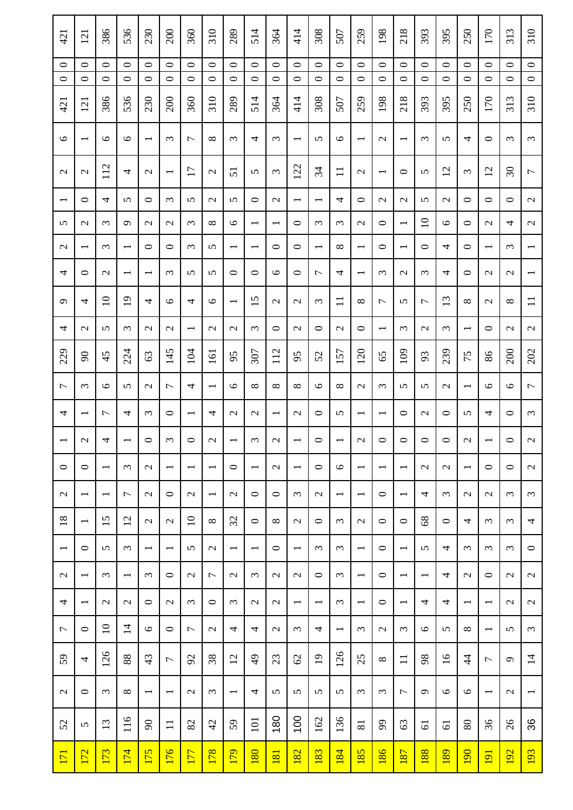| 421                      | 121                      | 386                      | 536                      | 230                      | 200                      | 360                      | 310                      | 289                      | 514                      | 364                      | 414                      | 308                      | 507                      | 259                      | 198                      | 218                      | 393                      | 395             | 250                      | 170                      | 313                      | 310                      |
|--------------------------|--------------------------|--------------------------|--------------------------|--------------------------|--------------------------|--------------------------|--------------------------|--------------------------|--------------------------|--------------------------|--------------------------|--------------------------|--------------------------|--------------------------|--------------------------|--------------------------|--------------------------|-----------------|--------------------------|--------------------------|--------------------------|--------------------------|
| $\circ$                  | $\circ$                  | 0                        | $\circ$                  | $\circ$                  | $\circ$                  | $\circ$                  | $\circ$                  | $\circ$                  | $\circ$                  | $\circ$                  | $\circ$                  | $\circ$                  | $\circ$                  | $\circ$                  | $\circ$                  | $\circ$                  | $\circ$                  | $\circ$         | $\circ$                  | $\circ$                  | $\circ$                  | $\circ$                  |
| $\circ$                  | $\circ$                  | $\circ$                  | $\circ$                  | $\circ$                  | $\circ$                  | $\circ$                  | $\circ$                  | $\circ$                  | $\circ$                  | $\circ$                  | $\circ$                  | $\circ$                  | $\circ$                  | $\circ$                  | $\circ$                  | $\circ$                  | $\circ$                  | $\circ$         | $\circ$                  | $\circ$                  | $\circ$                  | $\circ$                  |
| 421                      | 121                      | 386                      | 536                      | 230                      | 200                      | 360                      | 310                      | 289                      | 514                      | 364                      | 414                      | 308                      | 507                      | 259                      | 198                      | 218                      | 393                      | 395             | 250                      | 170                      | 313                      | 310                      |
| $\circ$                  | $\overline{\phantom{a}}$ | $\circ$                  | $\circ$                  | $\overline{\phantom{0}}$ | $\epsilon$               | 1                        | $\infty$                 | $\omega$                 | 4                        | $\epsilon$               | $\overline{\phantom{0}}$ | 5                        | $\circ$                  | $\overline{\phantom{0}}$ | $\mathcal{L}$            | $\overline{\phantom{0}}$ | $\epsilon$               | 5               | 4                        | 0                        | $\epsilon$               | $\epsilon$               |
| $\mathcal{L}$            | $\mathbf{\sim}$          | 112                      | 4                        | $\mathcal{L}$            |                          | 17                       | $\mathcal{L}$            | 51                       | 5                        | $\epsilon$               | 122                      | 34                       | $\Box$                   | $\mathcal{L}$            | $\overline{\phantom{0}}$ | ᅌ                        | 5                        | 12              | $\epsilon$               | 12                       | $\overline{\mathcal{E}}$ | $\overline{ }$           |
| $\overline{\phantom{0}}$ | $\circ$                  | 4                        | 5                        | $\circ$                  | $\epsilon$               | 5                        | $\mathcal{L}$            | 5                        | $\circ$                  | $\mathcal{L}$            | $\overline{\phantom{0}}$ | $\overline{\phantom{0}}$ | 4                        | $\circ$                  | $\mathcal{L}$            | $\mathcal{L}$            | 5                        | $\mathcal{L}$   | $\circ$                  | $\circ$                  | $\circ$                  | $\sim$                   |
| 5                        | $\mathcal{L}$            | 3                        | $\sigma$                 | $\mathcal{L}$            | $\mathcal{L}$            | $\epsilon$               | $\infty$                 | $\circ$                  | $\overline{\phantom{0}}$ | $\overline{\phantom{0}}$ | $\circ$                  | $\epsilon$               | $\epsilon$               | $\mathcal{L}$            | $\circ$                  | $\overline{\phantom{0}}$ | $\overline{10}$          | $\circ$         | $\circ$                  | $\mathcal{L}$            | 4                        | $\mathcal{L}$            |
| $\mathcal{L}$            | $\overline{\phantom{0}}$ | $\epsilon$               |                          | $\circ$                  | $\circ$                  | $\epsilon$               | 5                        | $\overline{\phantom{0}}$ | $\overline{\phantom{0}}$ | 0                        | 0                        | $\overline{\phantom{0}}$ | $\infty$                 | 1                        | $\circ$                  |                          | $\circ$                  | 4               | ○                        | $\overline{\phantom{0}}$ | $\omega$                 |                          |
| 4                        | $\circ$                  | $\mathcal{L}$            | $\overline{\phantom{0}}$ | $\overline{\phantom{0}}$ | $\omega$                 | 5                        | 5                        | $\circ$                  | $\circ$                  | 6                        | $\circ$                  | $\overline{ }$           | 4                        | $\overline{\phantom{0}}$ | $\epsilon$               | $\mathcal{L}$            | $\epsilon$               | 4               | $\circ$                  | $\mathcal{L}$            | $\mathcal{L}$            | $\overline{\phantom{0}}$ |
| $\sigma$                 | 4                        | $\overline{10}$          | $\overline{1}$           | 4                        | $\circ$                  | 4                        | $\circ$                  | $\overline{\phantom{0}}$ | 15                       | $\mathcal{L}$            | $\mathcal{L}$            | $\epsilon$               | $\mathbf{1}$             | $\infty$                 | $\overline{ }$           | 5                        | $\overline{\phantom{a}}$ | 13              | $\infty$                 | $\mathcal{L}$            | $\infty$                 | $\Box$                   |
| 4                        | $\mathcal{L}$            | 5                        | 3                        | $\mathcal{L}$            | $\mathcal{L}$            | $\overline{\phantom{0}}$ | $\mathcal{L}$            | $\mathcal{L}$            | $\epsilon$               | $\circ$                  | $\mathcal{L}$            | $\circ$                  | $\mathcal{L}$            | $\circ$                  | $\overline{\phantom{0}}$ | $\epsilon$               | $\mathcal{L}$            | $\epsilon$      | $\overline{\phantom{0}}$ | $\circ$                  | $\mathbf{\sim}$          | $\mathcal{L}$            |
| 229                      | $\infty$                 | 45                       | 224                      | 63                       | 145                      | 104                      | 161                      | 95                       | 307                      | 112                      | 95                       | 52                       | 157                      | 120                      | 65                       | 109                      | 93                       | 239             | 75                       | 86                       | 200                      | 202                      |
| $\overline{ }$           | $\epsilon$               | $\circ$                  | 5                        | $\mathcal{L}$            | 7                        | 4                        | $\overline{\phantom{0}}$ | $\circ$                  | $\infty$                 | ${}^{\circ}$             | $\infty$                 | $\circ$                  | $\infty$                 | $\mathcal{L}$            | 3                        | 5                        | 5                        | $\mathcal{L}$   | $\overline{\phantom{0}}$ | $\circ$                  | $\circ$                  | $\overline{ }$           |
| 4                        | $\overline{\phantom{a}}$ | $\overline{ }$           | 4                        | $\epsilon$               | $\circ$                  | $\overline{\phantom{0}}$ | 4                        | $\mathcal{L}$            | $\mathcal{L}$            | $\overline{\phantom{0}}$ | $\mathbf{\sim}$          | $\circ$                  | 5                        | $\overline{\phantom{0}}$ | $\overline{\phantom{0}}$ | ᅌ                        | $\mathcal{L}$            | $\circ$         | 5                        | 4                        | $\circ$                  | $\epsilon$               |
| $\overline{\phantom{0}}$ | $\mathcal{L}$            | 4                        | $\overline{\phantom{0}}$ | $\circ$                  | $\epsilon$               | $\circ$                  | $\mathcal{L}$            | $\overline{\phantom{0}}$ | $\epsilon$               | $\mathcal{L}$            | $\overline{\phantom{0}}$ | $\circ$                  | $\overline{\phantom{0}}$ | $\mathcal{L}$            | $\circ$                  | $\circ$                  | $\circ$                  | $\circ$         | $\mathcal{L}$            | $\overline{\phantom{0}}$ | $\circ$                  | $\mathcal{L}$            |
| $\circ$                  | $\circ$                  | $\overline{\phantom{0}}$ | $\omega$                 | $\mathcal{L}$            | $\overline{\phantom{0}}$ | $\overline{\phantom{0}}$ | $\overline{\phantom{0}}$ | $\circ$                  | $\overline{\phantom{0}}$ | $\mathcal{L}$            | $\overline{\phantom{0}}$ | $\circ$                  | $\circ$                  | $\overline{\phantom{0}}$ | $\overline{\phantom{0}}$ | $\overline{\phantom{0}}$ | $\mathbf{\sim}$          | $\mathcal{L}$   | $\overline{\phantom{0}}$ | $\circ$                  | $\circ$                  | $\mathcal{L}$            |
| $\mathbf{\sim}$          | $\overline{\phantom{0}}$ | $\overline{\phantom{0}}$ | $\overline{ }$           | $\mathcal{L}$            | $\circ$                  | $\mathcal{L}$            | $\overline{\phantom{0}}$ | $\mathbf{\Omega}$        | $\circ$                  | $\circ$                  | $\epsilon$               | $\mathbf{\sim}$          | $\overline{\phantom{0}}$ | $\overline{\phantom{0}}$ | $\circ$                  | $\overline{\phantom{0}}$ | 4                        | $\epsilon$      | $\mathcal{L}$            | $\mathbf{\sim}$          | $\epsilon$               | $\epsilon$               |
| $18\,$                   | $\overline{\phantom{m}}$ | 15                       | 12                       | $\mathcal{L}$            | $\mathbf{\sim}$          | $\overline{10}$          | $\infty$                 | 32                       | $\circ$                  | ${}^{\circ}$             | $\mathbf{\sim}$          | $\circ$                  | $\omega$                 | $\mathcal{L}$            | $\circ$                  | $\circ$                  | 68                       | $\circ$         | 4                        | $\epsilon$               | $\epsilon$               | 4                        |
| $\overline{\phantom{0}}$ | $\circ$                  | 5                        | $\epsilon$               | $\overline{\phantom{0}}$ | $\overline{\phantom{0}}$ | 5                        | $\mathcal{L}$            | $\overline{\phantom{0}}$ | $\overline{\phantom{0}}$ | $\circ$                  | $\overline{\phantom{0}}$ | $\omega$                 | $\omega$                 | $\overline{\phantom{0}}$ | $\circ$                  | $\overline{\phantom{0}}$ | 5                        | 4               | $\omega$                 | $\omega$                 | $\omega$                 | $\circ$                  |
| $\mathbf{\sim}$          | $\overline{\phantom{0}}$ | $\epsilon$               | $\overline{\phantom{0}}$ | $\epsilon$               | $\circ$                  | $\mathcal{L}$            | $\overline{ }$           | $\mathcal{L}$            | $\epsilon$               | $\mathcal{L}$            | $\mathbf{\sim}$          | $\circ$                  | $\epsilon$               | $\overline{\phantom{0}}$ | $\circ$                  | $\overline{\phantom{0}}$ | $\overline{\phantom{0}}$ | 4               | $\mathcal{L}$            | 0                        | $\mathbf{\sim}$          | $\mathcal{L}$            |
| 4                        | $\overline{\phantom{m}}$ | $\mathbf{\sim}$          | $\sim$                   | $\circ$                  | $\mathbf{\sim}$          | $\epsilon$               | $\circ$                  | $\epsilon$               | $\mathbf{\Omega}$        | $\mathcal{L}$            | $\overline{\phantom{0}}$ | $\overline{\phantom{0}}$ | $\omega$                 | $\overline{\phantom{0}}$ | $\circ$                  | $\overline{\phantom{0}}$ | 4                        | 4               | $\overline{\phantom{0}}$ | $\overline{\phantom{0}}$ | $\mathbf{\Omega}$        | $\mathbf{C}$             |
| $\overline{ }$           | $\circ$                  | $\supseteq$              | $\overline{1}$           | $\circ$                  | $\circ$                  | $\overline{ }$           | $\mathcal{L}$            | 4                        | 4                        | $\mathcal{L}$            | $\omega$                 | 4                        | $\overline{\phantom{a}}$ | $\epsilon$               | $\mathcal{L}$            | $\omega$                 | $\circ$                  | 5               | $\infty$                 | $\overline{\phantom{0}}$ | 5                        | $\epsilon$               |
| 59                       | 4                        | 126                      | 88                       | 43                       | $\overline{ }$           | $\mathcal{S}$            | 38                       | $\overline{c}$           | $\frac{1}{2}$            | 23                       | $\mathcal{S}$            | $\overline{19}$          | 126                      | 25                       | ${}^{\circ}$             | $\Box$                   | 98                       | $\overline{16}$ | 4                        | $\overline{ }$           | $\sigma$                 | $\overline{1}$           |
| $\mathcal{C}$            | ᅌ                        | 3                        | ${}^{\circ}$             | $\overline{\phantom{0}}$ | $\overline{\phantom{0}}$ | $\mathcal{L}$            | 3                        | $\overline{\phantom{0}}$ | 4                        | 5                        | 5                        | 5                        | 5                        | 3                        | 3                        | $\overline{ }$           | $\sigma$                 | $\circ$         | ৩                        | $\overline{\phantom{0}}$ | $\mathbf{\sim}$          | $\overline{\phantom{0}}$ |
| 52                       | $\Omega$                 | 13                       | 116                      | $\infty$                 | $\Box$                   | 82                       | $\overline{4}$           | 59                       | 101                      | 180                      | 100                      | 162                      | 136                      | 81                       | 99                       | 63                       | $\overline{6}$           | $\overline{6}$  | 80                       | 36                       | 26                       | 36                       |
| 171                      | 172                      | 173                      | 174                      | 175                      | 176                      | 177                      | 178                      | 179                      | <b>180</b>               | 181                      | 182                      | 183                      | 184                      | 185                      | 186                      | 187                      | 188                      | 189             | <u>190</u>               | <u>191</u>               | <u>192</u>               | 193                      |